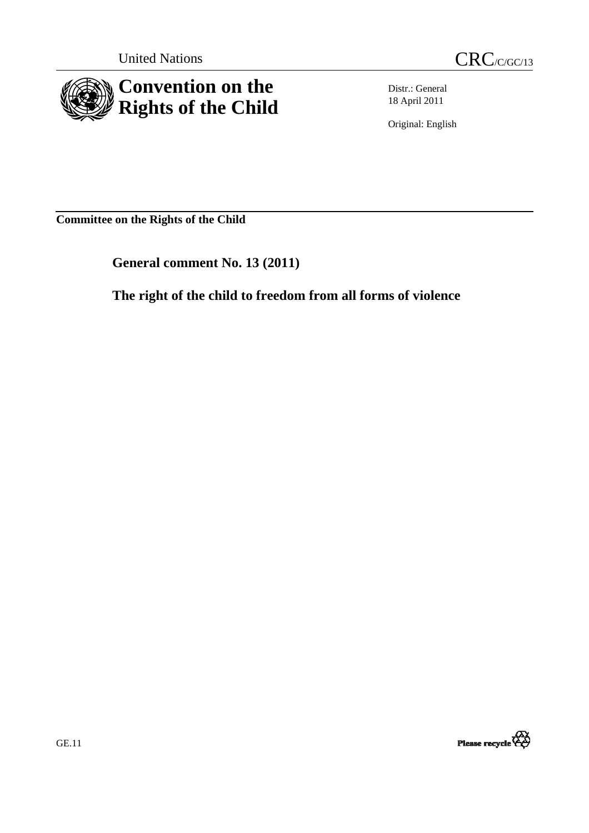



Distr.: General 18 April 2011

Original: English

**Committee on the Rights of the Child**

 **General comment No. 13 (2011)** 

 **The right of the child to freedom from all forms of violence** 

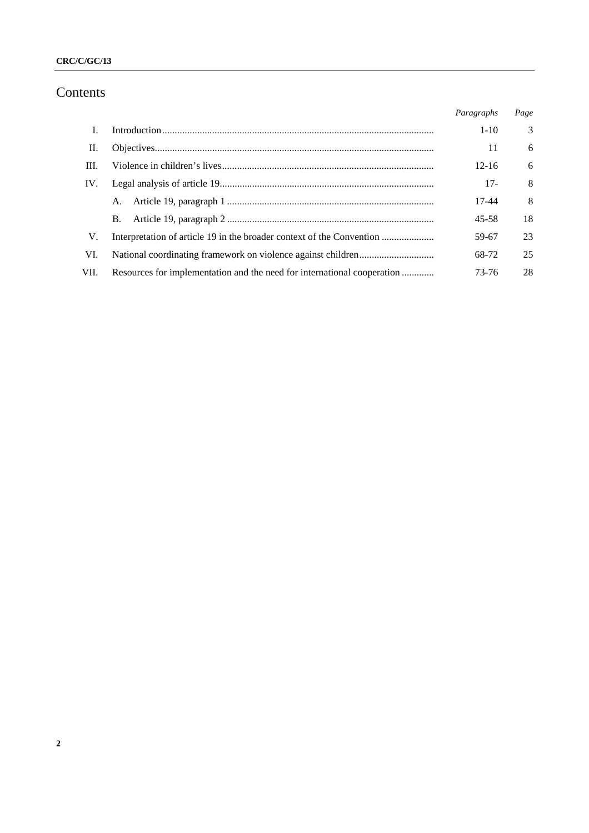### **CRC/C/GC/13**

## Contents

|      |                                                                         | Paragraphs | Page |
|------|-------------------------------------------------------------------------|------------|------|
|      |                                                                         | $1 - 10$   | 3    |
| П.   |                                                                         | 11         | 6    |
| III. |                                                                         | $12 - 16$  | 6    |
| IV.  |                                                                         | $17-$      | 8    |
|      | A.                                                                      | 17-44      | 8    |
|      | B.                                                                      | 45-58      | 18   |
| V.   |                                                                         | 59-67      | 23   |
| VI.  |                                                                         | 68-72      | 25   |
| VII. | Resources for implementation and the need for international cooperation | 73-76      | 28   |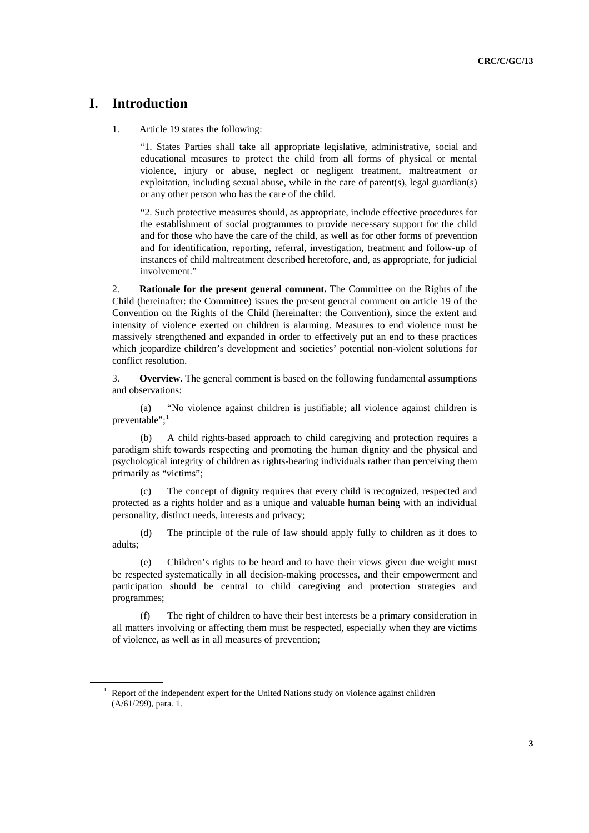## **I. Introduction**

1. Article 19 states the following:

"1. States Parties shall take all appropriate legislative, administrative, social and educational measures to protect the child from all forms of physical or mental violence, injury or abuse, neglect or negligent treatment, maltreatment or exploitation, including sexual abuse, while in the care of parent(s), legal guardian(s) or any other person who has the care of the child.

"2. Such protective measures should, as appropriate, include effective procedures for the establishment of social programmes to provide necessary support for the child and for those who have the care of the child, as well as for other forms of prevention and for identification, reporting, referral, investigation, treatment and follow-up of instances of child maltreatment described heretofore, and, as appropriate, for judicial involvement."

2. **Rationale for the present general comment.** The Committee on the Rights of the Child (hereinafter: the Committee) issues the present general comment on article 19 of the Convention on the Rights of the Child (hereinafter: the Convention), since the extent and intensity of violence exerted on children is alarming. Measures to end violence must be massively strengthened and expanded in order to effectively put an end to these practices which jeopardize children's development and societies' potential non-violent solutions for conflict resolution.

3. **Overview.** The general comment is based on the following fundamental assumptions and observations:

(a) "No violence against children is justifiable; all violence against children is preventable";<sup>[1](#page-2-0)</sup>

(b) A child rights-based approach to child caregiving and protection requires a paradigm shift towards respecting and promoting the human dignity and the physical and psychological integrity of children as rights-bearing individuals rather than perceiving them primarily as "victims";

(c) The concept of dignity requires that every child is recognized, respected and protected as a rights holder and as a unique and valuable human being with an individual personality, distinct needs, interests and privacy;

(d) The principle of the rule of law should apply fully to children as it does to adults;

(e) Children's rights to be heard and to have their views given due weight must be respected systematically in all decision-making processes, and their empowerment and participation should be central to child caregiving and protection strategies and programmes;

(f) The right of children to have their best interests be a primary consideration in all matters involving or affecting them must be respected, especially when they are victims of violence, as well as in all measures of prevention;

<span id="page-2-0"></span><sup>&</sup>lt;sup>1</sup> Report of the independent expert for the United Nations study on violence against children (A/61/299), para. 1.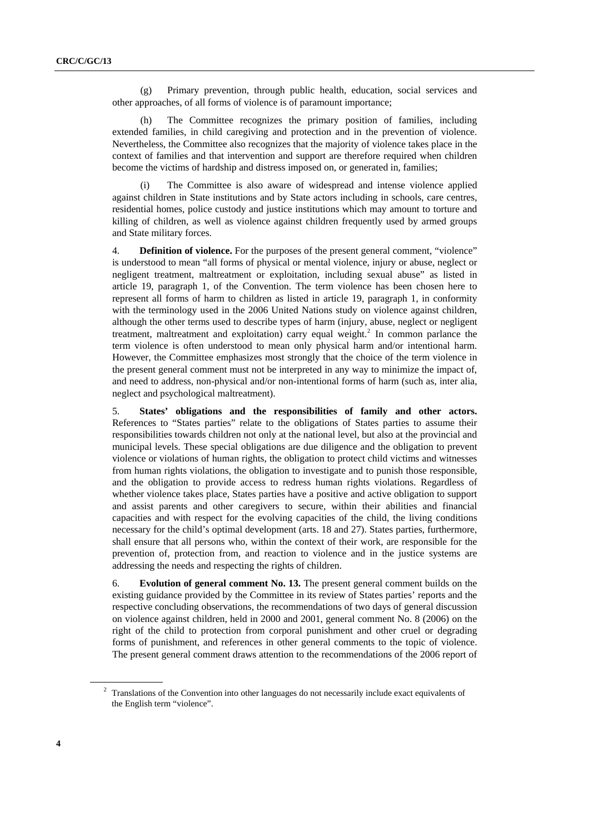(g) Primary prevention, through public health, education, social services and other approaches, of all forms of violence is of paramount importance;

(h) The Committee recognizes the primary position of families, including extended families, in child caregiving and protection and in the prevention of violence. Nevertheless, the Committee also recognizes that the majority of violence takes place in the context of families and that intervention and support are therefore required when children become the victims of hardship and distress imposed on, or generated in, families;

(i) The Committee is also aware of widespread and intense violence applied against children in State institutions and by State actors including in schools, care centres, residential homes, police custody and justice institutions which may amount to torture and killing of children, as well as violence against children frequently used by armed groups and State military forces.

4. **Definition of violence.** For the purposes of the present general comment, "violence" is understood to mean "all forms of physical or mental violence, injury or abuse, neglect or negligent treatment, maltreatment or exploitation, including sexual abuse" as listed in article 19, paragraph 1, of the Convention. The term violence has been chosen here to represent all forms of harm to children as listed in article 19, paragraph 1, in conformity with the terminology used in the 2006 United Nations study on violence against children, although the other terms used to describe types of harm (injury, abuse, neglect or negligent treatment, maltreatment and exploitation) carry equal weight.<sup>[2](#page-3-0)</sup> In common parlance the term violence is often understood to mean only physical harm and/or intentional harm. However, the Committee emphasizes most strongly that the choice of the term violence in the present general comment must not be interpreted in any way to minimize the impact of, and need to address, non-physical and/or non-intentional forms of harm (such as, inter alia, neglect and psychological maltreatment).

5. **States' obligations and the responsibilities of family and other actors.** References to "States parties" relate to the obligations of States parties to assume their responsibilities towards children not only at the national level, but also at the provincial and municipal levels. These special obligations are due diligence and the obligation to prevent violence or violations of human rights, the obligation to protect child victims and witnesses from human rights violations, the obligation to investigate and to punish those responsible, and the obligation to provide access to redress human rights violations. Regardless of whether violence takes place, States parties have a positive and active obligation to support and assist parents and other caregivers to secure, within their abilities and financial capacities and with respect for the evolving capacities of the child, the living conditions necessary for the child's optimal development (arts. 18 and 27). States parties, furthermore, shall ensure that all persons who, within the context of their work, are responsible for the prevention of, protection from, and reaction to violence and in the justice systems are addressing the needs and respecting the rights of children.

6. **Evolution of general comment No. 13.** The present general comment builds on the existing guidance provided by the Committee in its review of States parties' reports and the respective concluding observations, the recommendations of two days of general discussion on violence against children, held in 2000 and 2001, general comment No. 8 (2006) on the right of the child to protection from corporal punishment and other cruel or degrading forms of punishment, and references in other general comments to the topic of violence. The present general comment draws attention to the recommendations of the 2006 report of

<span id="page-3-0"></span><sup>&</sup>lt;sup>2</sup> Translations of the Convention into other languages do not necessarily include exact equivalents of the English term "violence".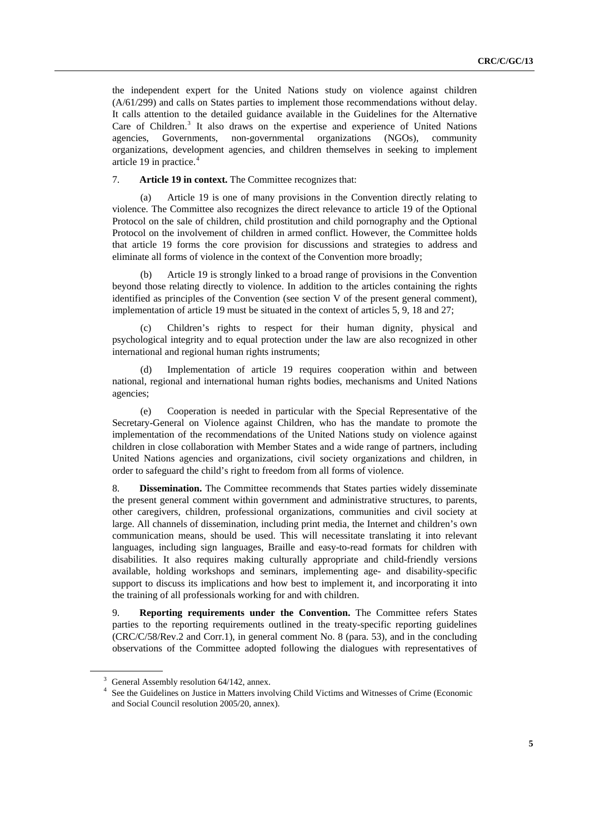the independent expert for the United Nations study on violence against children (A/61/299) and calls on States parties to implement those recommendations without delay. It calls attention to the detailed guidance available in the Guidelines for the Alternative Care of Children.<sup>[3](#page-4-0)</sup> It also draws on the expertise and experience of United Nations agencies, Governments, non-governmental organizations (NGOs), community organizations, development agencies, and children themselves in seeking to implement article 19 in practice.[4](#page-4-1)

### 7. **Article 19 in context.** The Committee recognizes that:

Article 19 is one of many provisions in the Convention directly relating to violence. The Committee also recognizes the direct relevance to article 19 of the Optional Protocol on the sale of children, child prostitution and child pornography and the Optional Protocol on the involvement of children in armed conflict. However, the Committee holds that article 19 forms the core provision for discussions and strategies to address and eliminate all forms of violence in the context of the Convention more broadly;

Article 19 is strongly linked to a broad range of provisions in the Convention beyond those relating directly to violence. In addition to the articles containing the rights identified as principles of the Convention (see section V of the present general comment), implementation of article 19 must be situated in the context of articles 5, 9, 18 and 27;

(c) Children's rights to respect for their human dignity, physical and psychological integrity and to equal protection under the law are also recognized in other international and regional human rights instruments;

(d) Implementation of article 19 requires cooperation within and between national, regional and international human rights bodies, mechanisms and United Nations agencies;

(e) Cooperation is needed in particular with the Special Representative of the Secretary-General on Violence against Children, who has the mandate to promote the implementation of the recommendations of the United Nations study on violence against children in close collaboration with Member States and a wide range of partners, including United Nations agencies and organizations, civil society organizations and children, in order to safeguard the child's right to freedom from all forms of violence.

8. **Dissemination.** The Committee recommends that States parties widely disseminate the present general comment within government and administrative structures, to parents, other caregivers, children, professional organizations, communities and civil society at large. All channels of dissemination, including print media, the Internet and children's own communication means, should be used. This will necessitate translating it into relevant languages, including sign languages, Braille and easy-to-read formats for children with disabilities. It also requires making culturally appropriate and child-friendly versions available, holding workshops and seminars, implementing age- and disability-specific support to discuss its implications and how best to implement it, and incorporating it into the training of all professionals working for and with children.

9. **Reporting requirements under the Convention.** The Committee refers States parties to the reporting requirements outlined in the treaty-specific reporting guidelines (CRC/C/58/Rev.2 and Corr.1), in general comment No. 8 (para. 53), and in the concluding observations of the Committee adopted following the dialogues with representatives of

<span id="page-4-0"></span> $\frac{3}{4}$  General Assembly resolution 64/142, annex.

<span id="page-4-1"></span><sup>&</sup>lt;sup>4</sup> See the Guidelines on Justice in Matters involving Child Victims and Witnesses of Crime (Economic and Social Council resolution 2005/20, annex).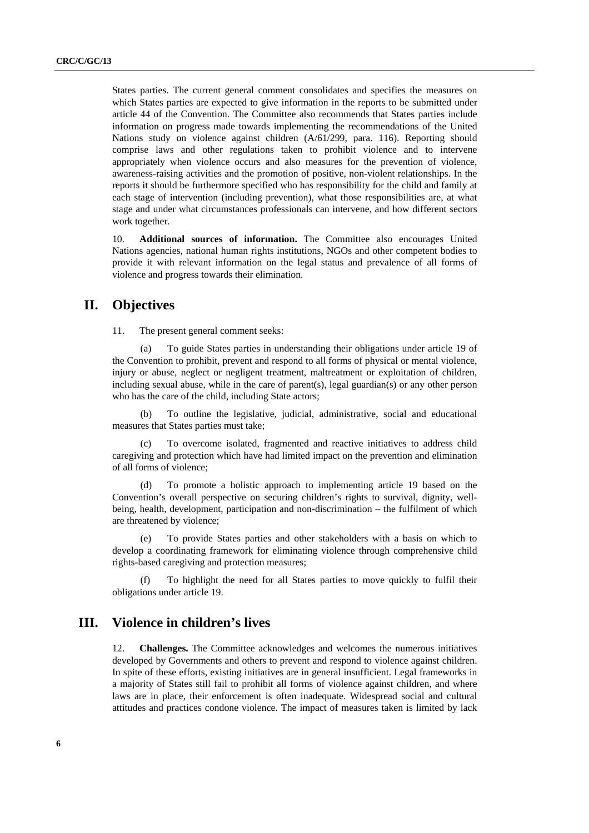States parties. The current general comment consolidates and specifies the measures on which States parties are expected to give information in the reports to be submitted under article 44 of the Convention. The Committee also recommends that States parties include information on progress made towards implementing the recommendations of the United Nations study on violence against children (A/61/299, para. 116). Reporting should comprise laws and other regulations taken to prohibit violence and to intervene appropriately when violence occurs and also measures for the prevention of violence, awareness-raising activities and the promotion of positive, non-violent relationships. In the reports it should be furthermore specified who has responsibility for the child and family at each stage of intervention (including prevention), what those responsibilities are, at what stage and under what circumstances professionals can intervene, and how different sectors work together.

10. **Additional sources of information.** The Committee also encourages United Nations agencies, national human rights institutions, NGOs and other competent bodies to provide it with relevant information on the legal status and prevalence of all forms of violence and progress towards their elimination.

### **II. Objectives**

11. The present general comment seeks:

To guide States parties in understanding their obligations under article 19 of the Convention to prohibit, prevent and respond to all forms of physical or mental violence, injury or abuse, neglect or negligent treatment, maltreatment or exploitation of children, including sexual abuse, while in the care of parent(s), legal guardian(s) or any other person who has the care of the child, including State actors;

(b) To outline the legislative, judicial, administrative, social and educational measures that States parties must take;

(c) To overcome isolated, fragmented and reactive initiatives to address child caregiving and protection which have had limited impact on the prevention and elimination of all forms of violence;

To promote a holistic approach to implementing article 19 based on the Convention's overall perspective on securing children's rights to survival, dignity, wellbeing, health, development, participation and non-discrimination – the fulfilment of which are threatened by violence;

(e) To provide States parties and other stakeholders with a basis on which to develop a coordinating framework for eliminating violence through comprehensive child rights-based caregiving and protection measures;

(f) To highlight the need for all States parties to move quickly to fulfil their obligations under article 19.

## **III. Violence in children's lives**

12. **Challenges.** The Committee acknowledges and welcomes the numerous initiatives developed by Governments and others to prevent and respond to violence against children. In spite of these efforts, existing initiatives are in general insufficient. Legal frameworks in a majority of States still fail to prohibit all forms of violence against children, and where laws are in place, their enforcement is often inadequate. Widespread social and cultural attitudes and practices condone violence. The impact of measures taken is limited by lack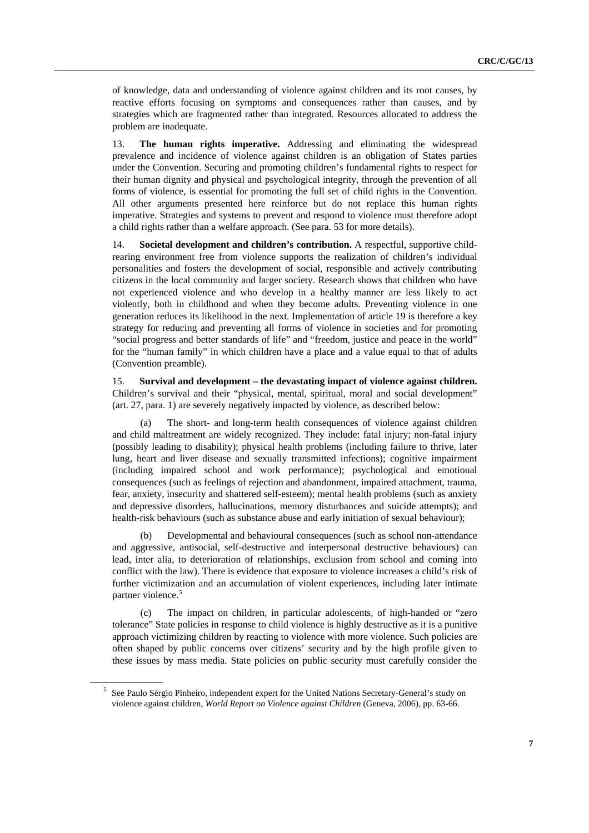of knowledge, data and understanding of violence against children and its root causes, by reactive efforts focusing on symptoms and consequences rather than causes, and by strategies which are fragmented rather than integrated. Resources allocated to address the problem are inadequate.

13. **The human rights imperative.** Addressing and eliminating the widespread prevalence and incidence of violence against children is an obligation of States parties under the Convention. Securing and promoting children's fundamental rights to respect for their human dignity and physical and psychological integrity, through the prevention of all forms of violence, is essential for promoting the full set of child rights in the Convention. All other arguments presented here reinforce but do not replace this human rights imperative. Strategies and systems to prevent and respond to violence must therefore adopt a child rights rather than a welfare approach. (See para. [53](#page-20-0) for more details).

14. **Societal development and children's contribution.** A respectful, supportive childrearing environment free from violence supports the realization of children's individual personalities and fosters the development of social, responsible and actively contributing citizens in the local community and larger society. Research shows that children who have not experienced violence and who develop in a healthy manner are less likely to act violently, both in childhood and when they become adults. Preventing violence in one generation reduces its likelihood in the next. Implementation of article 19 is therefore a key strategy for reducing and preventing all forms of violence in societies and for promoting "social progress and better standards of life" and "freedom, justice and peace in the world" for the "human family" in which children have a place and a value equal to that of adults (Convention preamble).

15. **Survival and development – the devastating impact of violence against children.**  Children's survival and their "physical, mental, spiritual, moral and social development" (art. 27, para. 1) are severely negatively impacted by violence, as described below:

(a) The short- and long-term health consequences of violence against children and child maltreatment are widely recognized. They include: fatal injury; non-fatal injury (possibly leading to disability); physical health problems (including failure to thrive, later lung, heart and liver disease and sexually transmitted infections); cognitive impairment (including impaired school and work performance); psychological and emotional consequences (such as feelings of rejection and abandonment, impaired attachment, trauma, fear, anxiety, insecurity and shattered self-esteem); mental health problems (such as anxiety and depressive disorders, hallucinations, memory disturbances and suicide attempts); and health-risk behaviours (such as substance abuse and early initiation of sexual behaviour);

(b) Developmental and behavioural consequences (such as school non-attendance and aggressive, antisocial, self-destructive and interpersonal destructive behaviours) can lead, inter alia, to deterioration of relationships, exclusion from school and coming into conflict with the law). There is evidence that exposure to violence increases a child's risk of further victimization and an accumulation of violent experiences, including later intimate partner violence.<sup>[5](#page-6-0)</sup>

(c) The impact on children, in particular adolescents, of high-handed or "zero tolerance" State policies in response to child violence is highly destructive as it is a punitive approach victimizing children by reacting to violence with more violence. Such policies are often shaped by public concerns over citizens' security and by the high profile given to these issues by mass media. State policies on public security must carefully consider the

<span id="page-6-0"></span><sup>&</sup>lt;sup>5</sup> See Paulo Sérgio Pinheiro, independent expert for the United Nations Secretary-General's study on violence against children, *World Report on Violence against Children* (Geneva, 2006), pp. 63-66.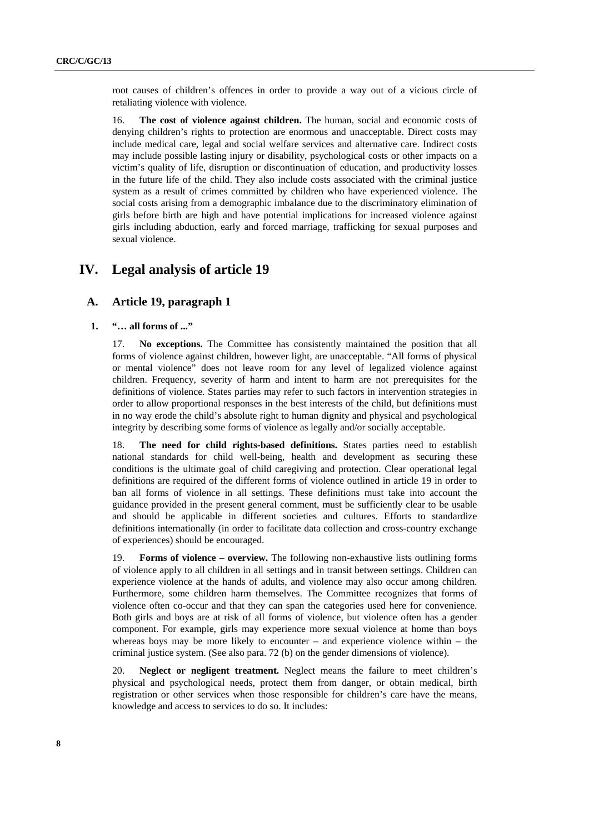root causes of children's offences in order to provide a way out of a vicious circle of retaliating violence with violence.

16. **The cost of violence against children.** The human, social and economic costs of denying children's rights to protection are enormous and unacceptable. Direct costs may include medical care, legal and social welfare services and alternative care. Indirect costs may include possible lasting injury or disability, psychological costs or other impacts on a victim's quality of life, disruption or discontinuation of education, and productivity losses in the future life of the child. They also include costs associated with the criminal justice system as a result of crimes committed by children who have experienced violence. The social costs arising from a demographic imbalance due to the discriminatory elimination of girls before birth are high and have potential implications for increased violence against girls including abduction, early and forced marriage, trafficking for sexual purposes and sexual violence.

### **IV. Legal analysis of article 19**

### **A. Article 19, paragraph 1**

 **1. "… all forms of ..."** 

17. **No exceptions.** The Committee has consistently maintained the position that all forms of violence against children, however light, are unacceptable. "All forms of physical or mental violence" does not leave room for any level of legalized violence against children. Frequency, severity of harm and intent to harm are not prerequisites for the definitions of violence. States parties may refer to such factors in intervention strategies in order to allow proportional responses in the best interests of the child, but definitions must in no way erode the child's absolute right to human dignity and physical and psychological integrity by describing some forms of violence as legally and/or socially acceptable.

18. **The need for child rights-based definitions.** States parties need to establish national standards for child well-being, health and development as securing these conditions is the ultimate goal of child caregiving and protection. Clear operational legal definitions are required of the different forms of violence outlined in article 19 in order to ban all forms of violence in all settings. These definitions must take into account the guidance provided in the present general comment, must be sufficiently clear to be usable and should be applicable in different societies and cultures. Efforts to standardize definitions internationally (in order to facilitate data collection and cross-country exchange of experiences) should be encouraged.

19. **Forms of violence – overview.** The following non-exhaustive lists outlining forms of violence apply to all children in all settings and in transit between settings. Children can experience violence at the hands of adults, and violence may also occur among children. Furthermore, some children harm themselves. The Committee recognizes that forms of violence often co-occur and that they can span the categories used here for convenience. Both girls and boys are at risk of all forms of violence, but violence often has a gender component. For example, girls may experience more sexual violence at home than boys whereas boys may be more likely to encounter – and experience violence within  $-$  the criminal justice system. (See also para. [72](#page-25-0) (b) on the gender dimensions of violence).

20. **Neglect or negligent treatment.** Neglect means the failure to meet children's physical and psychological needs, protect them from danger, or obtain medical, birth registration or other services when those responsible for children's care have the means, knowledge and access to services to do so. It includes: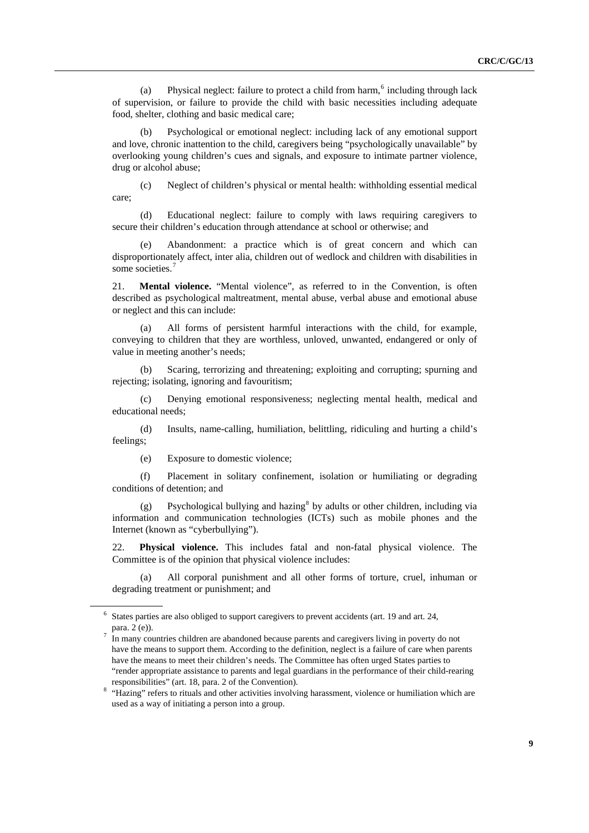(a) Physical neglect: failure to protect a child from harm,<sup>[6](#page-8-0)</sup> including through lack of supervision, or failure to provide the child with basic necessities including adequate food, shelter, clothing and basic medical care;

(b) Psychological or emotional neglect: including lack of any emotional support and love, chronic inattention to the child, caregivers being "psychologically unavailable" by overlooking young children's cues and signals, and exposure to intimate partner violence, drug or alcohol abuse;

(c) Neglect of children's physical or mental health: withholding essential medical care;

(d) Educational neglect: failure to comply with laws requiring caregivers to secure their children's education through attendance at school or otherwise; and

(e) Abandonment: a practice which is of great concern and which can disproportionately affect, inter alia, children out of wedlock and children with disabilities in some societies.<sup>[7](#page-8-1)</sup>

21. **Mental violence.** "Mental violence", as referred to in the Convention, is often described as psychological maltreatment, mental abuse, verbal abuse and emotional abuse or neglect and this can include:

(a) All forms of persistent harmful interactions with the child, for example, conveying to children that they are worthless, unloved, unwanted, endangered or only of value in meeting another's needs;

(b) Scaring, terrorizing and threatening; exploiting and corrupting; spurning and rejecting; isolating, ignoring and favouritism;

(c) Denying emotional responsiveness; neglecting mental health, medical and educational needs;

(d) Insults, name-calling, humiliation, belittling, ridiculing and hurting a child's feelings;

(e) Exposure to domestic violence;

(f) Placement in solitary confinement, isolation or humiliating or degrading conditions of detention; and

(g) Psychological bullying and hazing<sup>[8](#page-8-2)</sup> by adults or other children, including via information and communication technologies (ICTs) such as mobile phones and the Internet (known as "cyberbullying").

22. **Physical violence.** This includes fatal and non-fatal physical violence. The Committee is of the opinion that physical violence includes:

(a) All corporal punishment and all other forms of torture, cruel, inhuman or degrading treatment or punishment; and

<span id="page-8-0"></span> $6$  States parties are also obliged to support caregivers to prevent accidents (art. 19 and art. 24, para. 2 (e)).

<span id="page-8-1"></span>In many countries children are abandoned because parents and caregivers living in poverty do not have the means to support them. According to the definition, neglect is a failure of care when parents have the means to meet their children's needs. The Committee has often urged States parties to "render appropriate assistance to parents and legal guardians in the performance of their child-rearing responsibilities" (art. 18, para. 2 of the Convention).

<span id="page-8-2"></span><sup>&</sup>lt;sup>8</sup> "Hazing" refers to rituals and other activities involving harassment, violence or humiliation which are used as a way of initiating a person into a group.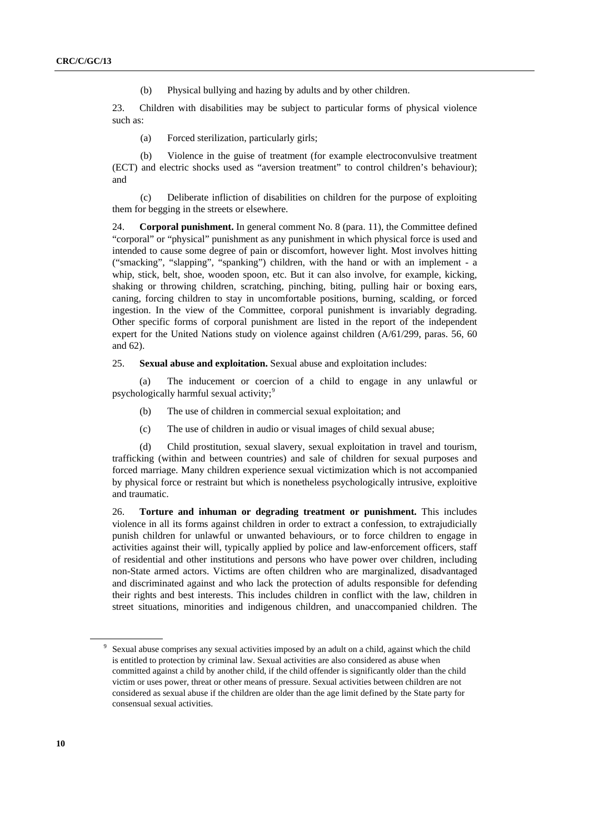(b) Physical bullying and hazing by adults and by other children.

23. Children with disabilities may be subject to particular forms of physical violence such as:

(a) Forced sterilization, particularly girls;

(b) Violence in the guise of treatment (for example electroconvulsive treatment (ECT) and electric shocks used as "aversion treatment" to control children's behaviour); and

(c) Deliberate infliction of disabilities on children for the purpose of exploiting them for begging in the streets or elsewhere.

24. **Corporal punishment.** In general comment No. 8 (para. 11), the Committee defined "corporal" or "physical" punishment as any punishment in which physical force is used and intended to cause some degree of pain or discomfort, however light. Most involves hitting ("smacking", "slapping", "spanking") children, with the hand or with an implement - a whip, stick, belt, shoe, wooden spoon, etc. But it can also involve, for example, kicking, shaking or throwing children, scratching, pinching, biting, pulling hair or boxing ears, caning, forcing children to stay in uncomfortable positions, burning, scalding, or forced ingestion. In the view of the Committee, corporal punishment is invariably degrading. Other specific forms of corporal punishment are listed in the report of the independent expert for the United Nations study on violence against children (A/61/299, paras. 56, 60 and 62).

25. **Sexual abuse and exploitation.** Sexual abuse and exploitation includes:

(a) The inducement or coercion of a child to engage in any unlawful or psychologically harmful sexual activity;<sup>[9](#page-9-0)</sup>

- (b) The use of children in commercial sexual exploitation; and
- (c) The use of children in audio or visual images of child sexual abuse;

(d) Child prostitution, sexual slavery, sexual exploitation in travel and tourism, trafficking (within and between countries) and sale of children for sexual purposes and forced marriage. Many children experience sexual victimization which is not accompanied by physical force or restraint but which is nonetheless psychologically intrusive, exploitive and traumatic.

26. **Torture and inhuman or degrading treatment or punishment.** This includes violence in all its forms against children in order to extract a confession, to extrajudicially punish children for unlawful or unwanted behaviours, or to force children to engage in activities against their will, typically applied by police and law-enforcement officers, staff of residential and other institutions and persons who have power over children, including non-State armed actors. Victims are often children who are marginalized, disadvantaged and discriminated against and who lack the protection of adults responsible for defending their rights and best interests. This includes children in conflict with the law, children in street situations, minorities and indigenous children, and unaccompanied children. The

<span id="page-9-0"></span><sup>&</sup>lt;sup>9</sup> Sexual abuse comprises any sexual activities imposed by an adult on a child, against which the child is entitled to protection by criminal law. Sexual activities are also considered as abuse when committed against a child by another child, if the child offender is significantly older than the child victim or uses power, threat or other means of pressure. Sexual activities between children are not considered as sexual abuse if the children are older than the age limit defined by the State party for consensual sexual activities.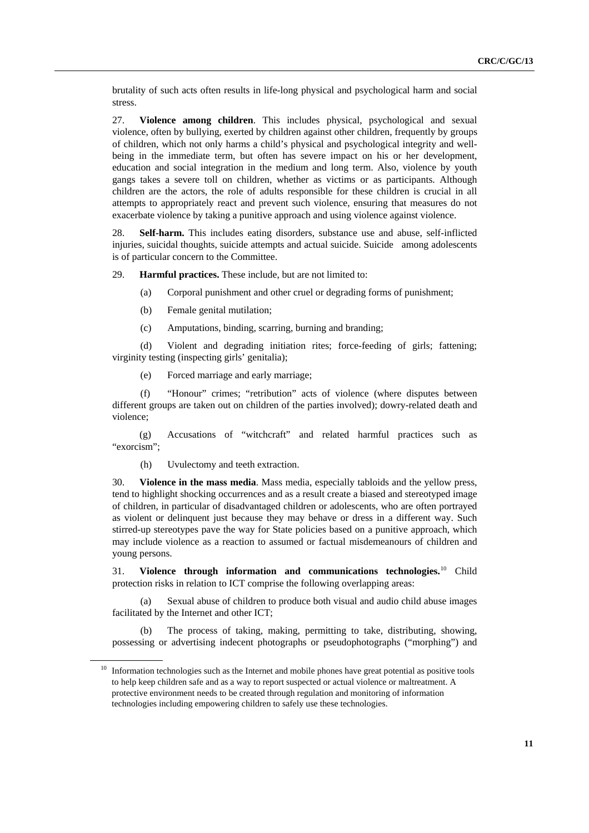brutality of such acts often results in life-long physical and psychological harm and social stress.

27. **Violence among children**. This includes physical, psychological and sexual violence, often by bullying, exerted by children against other children, frequently by groups of children, which not only harms a child's physical and psychological integrity and wellbeing in the immediate term, but often has severe impact on his or her development, education and social integration in the medium and long term. Also, violence by youth gangs takes a severe toll on children, whether as victims or as participants. Although children are the actors, the role of adults responsible for these children is crucial in all attempts to appropriately react and prevent such violence, ensuring that measures do not exacerbate violence by taking a punitive approach and using violence against violence.

28. **Self-harm.** This includes eating disorders, substance use and abuse, self-inflicted injuries, suicidal thoughts, suicide attempts and actual suicide. Suicide among adolescents is of particular concern to the Committee.

29. **Harmful practices.** These include, but are not limited to:

- (a) Corporal punishment and other cruel or degrading forms of punishment;
- (b) Female genital mutilation;
- (c) Amputations, binding, scarring, burning and branding;

(d) Violent and degrading initiation rites; force-feeding of girls; fattening; virginity testing (inspecting girls' genitalia);

(e) Forced marriage and early marriage;

(f) "Honour" crimes; "retribution" acts of violence (where disputes between different groups are taken out on children of the parties involved); dowry-related death and violence;

(g) Accusations of "witchcraft" and related harmful practices such as "exorcism";

(h) Uvulectomy and teeth extraction.

30. **Violence in the mass media**. Mass media, especially tabloids and the yellow press, tend to highlight shocking occurrences and as a result create a biased and stereotyped image of children, in particular of disadvantaged children or adolescents, who are often portrayed as violent or delinquent just because they may behave or dress in a different way. Such stirred-up stereotypes pave the way for State policies based on a punitive approach, which may include violence as a reaction to assumed or factual misdemeanours of children and young persons.

31. **Violence through information and communications technologies.**[10](#page-10-0) Child protection risks in relation to ICT comprise the following overlapping areas:

(a) Sexual abuse of children to produce both visual and audio child abuse images facilitated by the Internet and other ICT;

(b) The process of taking, making, permitting to take, distributing, showing, possessing or advertising indecent photographs or pseudophotographs ("morphing") and

<span id="page-10-0"></span>Information technologies such as the Internet and mobile phones have great potential as positive tools to help keep children safe and as a way to report suspected or actual violence or maltreatment. A protective environment needs to be created through regulation and monitoring of information technologies including empowering children to safely use these technologies.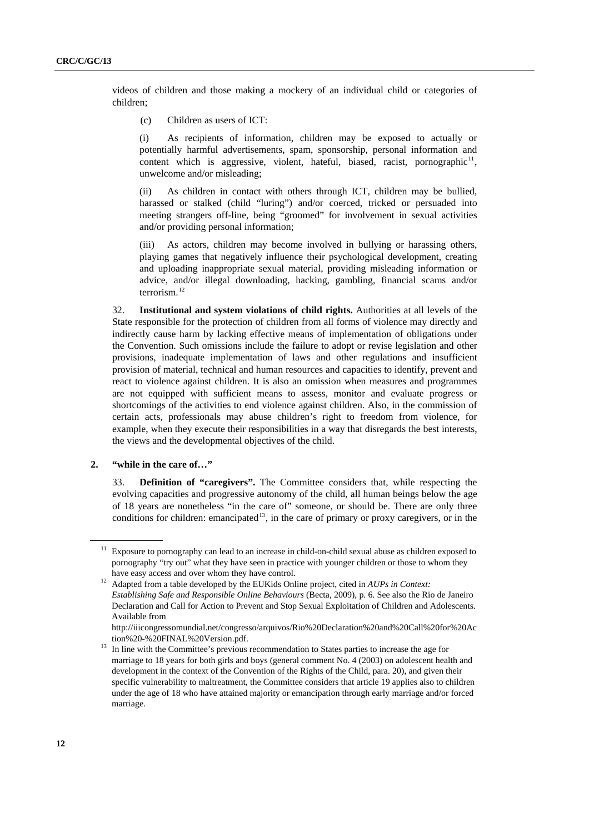videos of children and those making a mockery of an individual child or categories of children;

(c) Children as users of ICT:

(i) As recipients of information, children may be exposed to actually or potentially harmful advertisements, spam, sponsorship, personal information and content which is aggressive, violent, hateful, biased, racist, pornographic<sup>[11](#page-11-0)</sup>, unwelcome and/or misleading;

(ii) As children in contact with others through ICT, children may be bullied, harassed or stalked (child "luring") and/or coerced, tricked or persuaded into meeting strangers off-line, being "groomed" for involvement in sexual activities and/or providing personal information;

(iii) As actors, children may become involved in bullying or harassing others, playing games that negatively influence their psychological development, creating and uploading inappropriate sexual material, providing misleading information or advice, and/or illegal downloading, hacking, gambling, financial scams and/or terrorism. $^{12}$  $^{12}$  $^{12}$ 

32. **Institutional and system violations of child rights.** Authorities at all levels of the State responsible for the protection of children from all forms of violence may directly and indirectly cause harm by lacking effective means of implementation of obligations under the Convention. Such omissions include the failure to adopt or revise legislation and other provisions, inadequate implementation of laws and other regulations and insufficient provision of material, technical and human resources and capacities to identify, prevent and react to violence against children. It is also an omission when measures and programmes are not equipped with sufficient means to assess, monitor and evaluate progress or shortcomings of the activities to end violence against children. Also, in the commission of certain acts, professionals may abuse children's right to freedom from violence, for example, when they execute their responsibilities in a way that disregards the best interests, the views and the developmental objectives of the child.

 **2. "while in the care of…"** 

33. **Definition of "caregivers".** The Committee considers that, while respecting the evolving capacities and progressive autonomy of the child, all human beings below the age of 18 years are nonetheless "in the care of" someone, or should be. There are only three conditions for children: emancipated<sup>[13](#page-11-2)</sup>, in the care of primary or proxy caregivers, or in the

<span id="page-11-0"></span><sup>&</sup>lt;sup>11</sup> Exposure to pornography can lead to an increase in child-on-child sexual abuse as children exposed to pornography "try out" what they have seen in practice with younger children or those to whom they

<span id="page-11-1"></span>have easy access and over whom they have control.<br><sup>12</sup> Adapted from a table developed by the EUKids Online project, cited in *AUPs in Context: Establishing Safe and Responsible Online Behaviours* (Becta, 2009), p. 6. See also the Rio de Janeiro Declaration and Call for Action to Prevent and Stop Sexual Exploitation of Children and Adolescents. Available from

http://iiicongressomundial.net/congresso/arquivos/Rio%20Declaration%20and%20Call%20for%20Ac

<span id="page-11-2"></span>tion%20-%20FINAL%20Version.pdf. 13 In line with the Committee's previous recommendation to States parties to increase the age for marriage to 18 years for both girls and boys (general comment No. 4 (2003) on adolescent health and development in the context of the Convention of the Rights of the Child, para. 20), and given their specific vulnerability to maltreatment, the Committee considers that article 19 applies also to children under the age of 18 who have attained majority or emancipation through early marriage and/or forced marriage.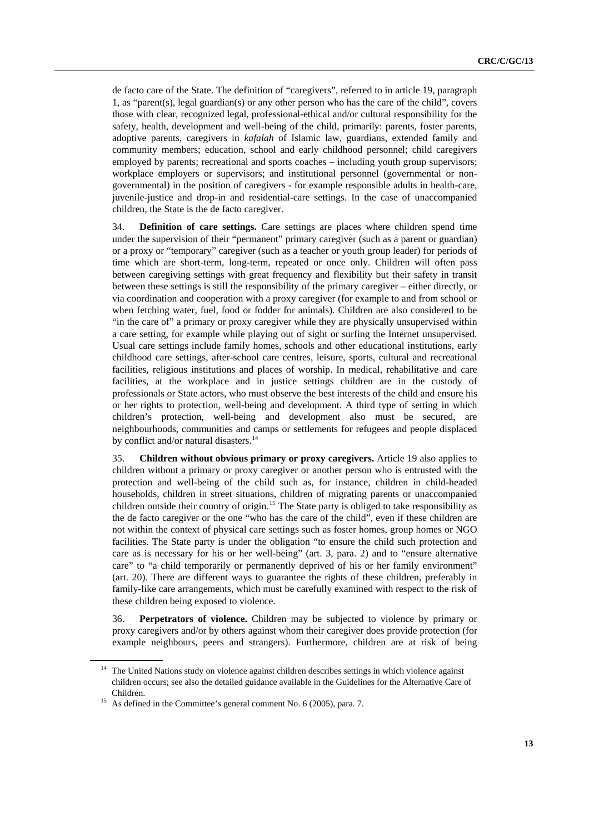de facto care of the State. The definition of "caregivers", referred to in article 19, paragraph 1, as "parent(s), legal guardian(s) or any other person who has the care of the child", covers those with clear, recognized legal, professional-ethical and/or cultural responsibility for the safety, health, development and well-being of the child, primarily: parents, foster parents, adoptive parents, caregivers in *kafalah* of Islamic law, guardians, extended family and community members; education, school and early childhood personnel; child caregivers employed by parents; recreational and sports coaches – including youth group supervisors; workplace employers or supervisors; and institutional personnel (governmental or nongovernmental) in the position of caregivers - for example responsible adults in health-care, juvenile-justice and drop-in and residential-care settings. In the case of unaccompanied children, the State is the de facto caregiver.

34. **Definition of care settings.** Care settings are places where children spend time under the supervision of their "permanent" primary caregiver (such as a parent or guardian) or a proxy or "temporary" caregiver (such as a teacher or youth group leader) for periods of time which are short-term, long-term, repeated or once only. Children will often pass between caregiving settings with great frequency and flexibility but their safety in transit between these settings is still the responsibility of the primary caregiver – either directly, or via coordination and cooperation with a proxy caregiver (for example to and from school or when fetching water, fuel, food or fodder for animals). Children are also considered to be "in the care of" a primary or proxy caregiver while they are physically unsupervised within a care setting, for example while playing out of sight or surfing the Internet unsupervised. Usual care settings include family homes, schools and other educational institutions, early childhood care settings, after-school care centres, leisure, sports, cultural and recreational facilities, religious institutions and places of worship. In medical, rehabilitative and care facilities, at the workplace and in justice settings children are in the custody of professionals or State actors, who must observe the best interests of the child and ensure his or her rights to protection, well-being and development. A third type of setting in which children's protection, well-being and development also must be secured, are neighbourhoods, communities and camps or settlements for refugees and people displaced by conflict and/or natural disasters.<sup>[14](#page-12-0)</sup>

35. **Children without obvious primary or proxy caregivers.** Article 19 also applies to children without a primary or proxy caregiver or another person who is entrusted with the protection and well-being of the child such as, for instance, children in child-headed households, children in street situations, children of migrating parents or unaccompanied children outside their country of origin.<sup>[15](#page-12-1)</sup> The State party is obliged to take responsibility as the de facto caregiver or the one "who has the care of the child", even if these children are not within the context of physical care settings such as foster homes, group homes or NGO facilities. The State party is under the obligation "to ensure the child such protection and care as is necessary for his or her well-being" (art. 3, para. 2) and to "ensure alternative care" to "a child temporarily or permanently deprived of his or her family environment" (art. 20). There are different ways to guarantee the rights of these children, preferably in family-like care arrangements, which must be carefully examined with respect to the risk of these children being exposed to violence.

36. **Perpetrators of violence.** Children may be subjected to violence by primary or proxy caregivers and/or by others against whom their caregiver does provide protection (for example neighbours, peers and strangers). Furthermore, children are at risk of being

<span id="page-12-0"></span><sup>&</sup>lt;sup>14</sup> The United Nations study on violence against children describes settings in which violence against children occurs; see also the detailed guidance available in the Guidelines for the Alternative Care of Children. 15 As defined in the Committee's general comment No. 6 (2005), para. 7.

<span id="page-12-1"></span>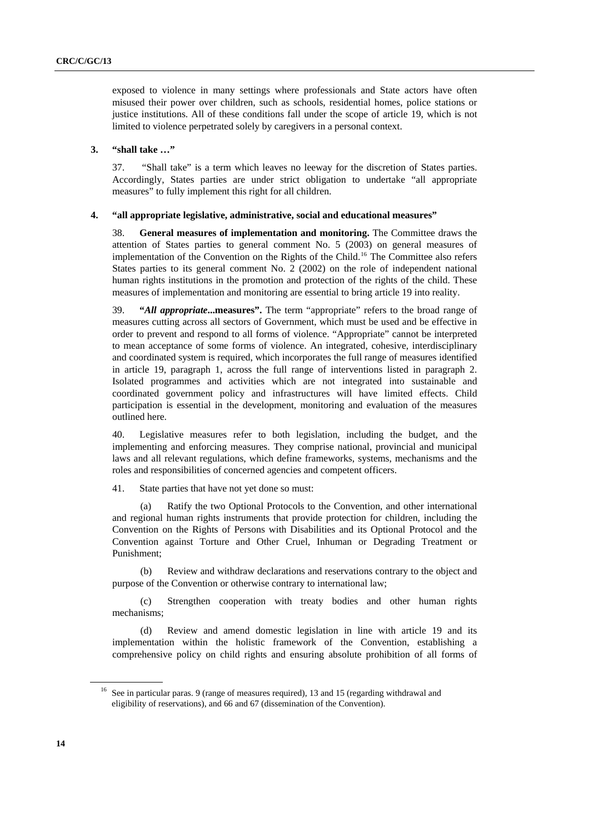exposed to violence in many settings where professionals and State actors have often misused their power over children, such as schools, residential homes, police stations or justice institutions. All of these conditions fall under the scope of article 19, which is not limited to violence perpetrated solely by caregivers in a personal context.

#### **3. "shall take …"**

37. "Shall take" is a term which leaves no leeway for the discretion of States parties. Accordingly, States parties are under strict obligation to undertake "all appropriate measures" to fully implement this right for all children.

#### **4. "all appropriate legislative, administrative, social and educational measures"**

38. **General measures of implementation and monitoring.** The Committee draws the attention of States parties to general comment No. 5 (2003) on general measures of implementation of the Convention on the Rights of the Child.<sup>[16](#page-13-0)</sup> The Committee also refers States parties to its general comment No. 2 (2002) on the role of independent national human rights institutions in the promotion and protection of the rights of the child. These measures of implementation and monitoring are essential to bring article 19 into reality.

39. **"***All appropriate***...measures".** The term "appropriate" refers to the broad range of measures cutting across all sectors of Government, which must be used and be effective in order to prevent and respond to all forms of violence. "Appropriate" cannot be interpreted to mean acceptance of some forms of violence. An integrated, cohesive, interdisciplinary and coordinated system is required, which incorporates the full range of measures identified in article 19, paragraph 1, across the full range of interventions listed in paragraph 2. Isolated programmes and activities which are not integrated into sustainable and coordinated government policy and infrastructures will have limited effects. Child participation is essential in the development, monitoring and evaluation of the measures outlined here.

40. Legislative measures refer to both legislation, including the budget, and the implementing and enforcing measures. They comprise national, provincial and municipal laws and all relevant regulations, which define frameworks, systems, mechanisms and the roles and responsibilities of concerned agencies and competent officers.

41. State parties that have not yet done so must:

(a) Ratify the two Optional Protocols to the Convention, and other international and regional human rights instruments that provide protection for children, including the Convention on the Rights of Persons with Disabilities and its Optional Protocol and the Convention against Torture and Other Cruel, Inhuman or Degrading Treatment or Punishment;

(b) Review and withdraw declarations and reservations contrary to the object and purpose of the Convention or otherwise contrary to international law;

(c) Strengthen cooperation with treaty bodies and other human rights mechanisms;

(d) Review and amend domestic legislation in line with article 19 and its implementation within the holistic framework of the Convention, establishing a comprehensive policy on child rights and ensuring absolute prohibition of all forms of

<span id="page-13-0"></span><sup>&</sup>lt;sup>16</sup> See in particular paras. 9 (range of measures required), 13 and 15 (regarding withdrawal and eligibility of reservations), and 66 and 67 (dissemination of the Convention).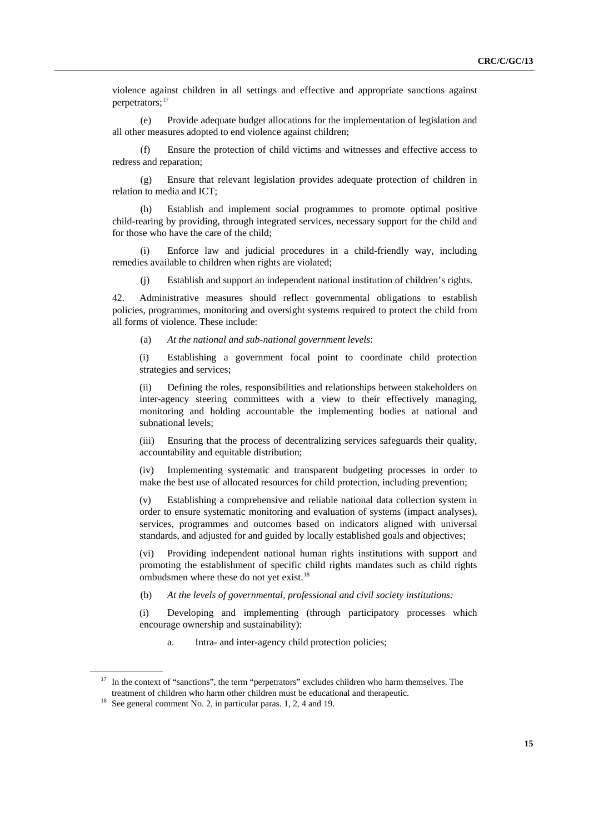violence against children in all settings and effective and appropriate sanctions against perpetrators;<sup>[17](#page-14-0)</sup>

(e) Provide adequate budget allocations for the implementation of legislation and all other measures adopted to end violence against children;

(f) Ensure the protection of child victims and witnesses and effective access to redress and reparation;

(g) Ensure that relevant legislation provides adequate protection of children in relation to media and ICT;

(h) Establish and implement social programmes to promote optimal positive child-rearing by providing, through integrated services, necessary support for the child and for those who have the care of the child;

(i) Enforce law and judicial procedures in a child-friendly way, including remedies available to children when rights are violated;

(j) Establish and support an independent national institution of children's rights.

<span id="page-14-2"></span>42. Administrative measures should reflect governmental obligations to establish policies, programmes, monitoring and oversight systems required to protect the child from all forms of violence. These include:

(a) *At the national and sub-national government levels*:

(i) Establishing a government focal point to coordinate child protection strategies and services;

(ii) Defining the roles, responsibilities and relationships between stakeholders on inter-agency steering committees with a view to their effectively managing, monitoring and holding accountable the implementing bodies at national and subnational levels;

(iii) Ensuring that the process of decentralizing services safeguards their quality, accountability and equitable distribution;

(iv) Implementing systematic and transparent budgeting processes in order to make the best use of allocated resources for child protection, including prevention;

(v) Establishing a comprehensive and reliable national data collection system in order to ensure systematic monitoring and evaluation of systems (impact analyses), services, programmes and outcomes based on indicators aligned with universal standards, and adjusted for and guided by locally established goals and objectives;

(vi) Providing independent national human rights institutions with support and promoting the establishment of specific child rights mandates such as child rights ombudsmen where these do not yet exist.<sup>[18](#page-14-1)</sup>

(b) *At the levels of governmental, professional and civil society institutions:* 

(i) Developing and implementing (through participatory processes which encourage ownership and sustainability):

a. Intra- and inter-agency child protection policies;

<span id="page-14-1"></span><span id="page-14-0"></span> $17$  In the context of "sanctions", the term "perpetrators" excludes children who harm themselves. The treatment of children who harm other children must be educational and therapeutic. 18 See general comment No. 2, in particular paras. 1, 2, 4 and 19.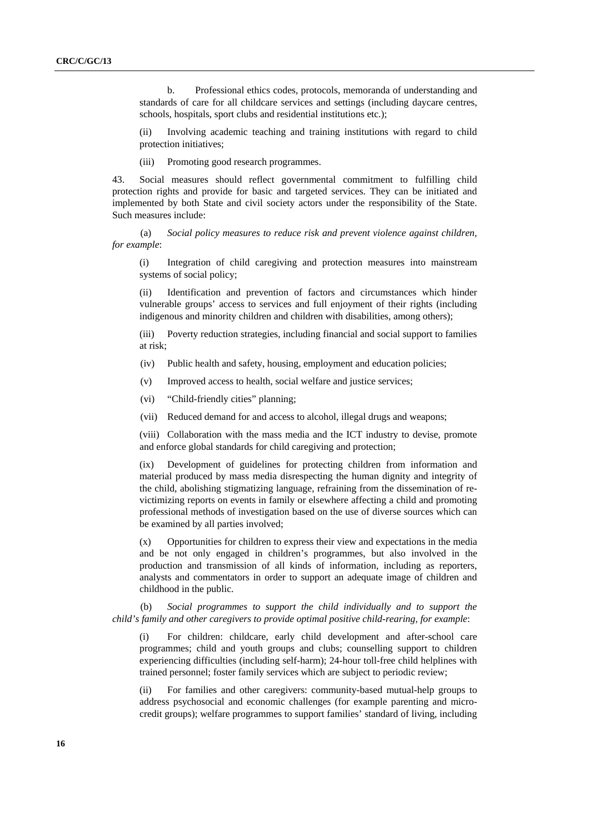b. Professional ethics codes, protocols, memoranda of understanding and standards of care for all childcare services and settings (including daycare centres, schools, hospitals, sport clubs and residential institutions etc.);

(ii) Involving academic teaching and training institutions with regard to child protection initiatives;

(iii) Promoting good research programmes.

43. Social measures should reflect governmental commitment to fulfilling child protection rights and provide for basic and targeted services. They can be initiated and implemented by both State and civil society actors under the responsibility of the State. Such measures include:

(a) *Social policy measures to reduce risk and prevent violence against children, for example*:

(i) Integration of child caregiving and protection measures into mainstream systems of social policy;

(ii) Identification and prevention of factors and circumstances which hinder vulnerable groups' access to services and full enjoyment of their rights (including indigenous and minority children and children with disabilities, among others);

(iii) Poverty reduction strategies, including financial and social support to families at risk;

- (iv) Public health and safety, housing, employment and education policies;
- (v) Improved access to health, social welfare and justice services;
- (vi) "Child-friendly cities" planning;
- (vii) Reduced demand for and access to alcohol, illegal drugs and weapons;

(viii) Collaboration with the mass media and the ICT industry to devise, promote and enforce global standards for child caregiving and protection;

(ix) Development of guidelines for protecting children from information and material produced by mass media disrespecting the human dignity and integrity of the child, abolishing stigmatizing language, refraining from the dissemination of revictimizing reports on events in family or elsewhere affecting a child and promoting professional methods of investigation based on the use of diverse sources which can be examined by all parties involved;

(x) Opportunities for children to express their view and expectations in the media and be not only engaged in children's programmes, but also involved in the production and transmission of all kinds of information, including as reporters, analysts and commentators in order to support an adequate image of children and childhood in the public.

(b) *Social programmes to support the child individually and to support the child's family and other caregivers to provide optimal positive child-rearing, for example*:

(i) For children: childcare, early child development and after-school care programmes; child and youth groups and clubs; counselling support to children experiencing difficulties (including self-harm); 24-hour toll-free child helplines with trained personnel; foster family services which are subject to periodic review;

(ii) For families and other caregivers: community-based mutual-help groups to address psychosocial and economic challenges (for example parenting and microcredit groups); welfare programmes to support families' standard of living, including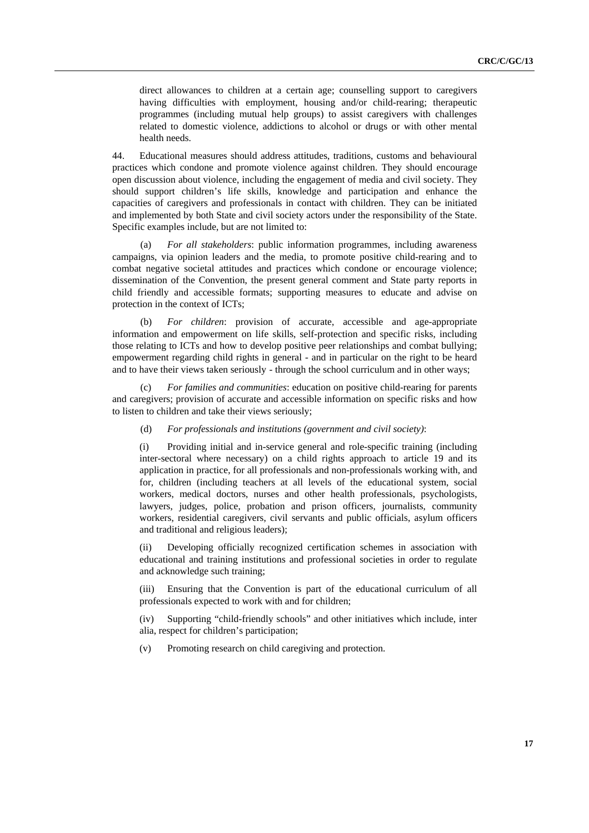direct allowances to children at a certain age; counselling support to caregivers having difficulties with employment, housing and/or child-rearing; therapeutic programmes (including mutual help groups) to assist caregivers with challenges related to domestic violence, addictions to alcohol or drugs or with other mental health needs.

44. Educational measures should address attitudes, traditions, customs and behavioural practices which condone and promote violence against children. They should encourage open discussion about violence, including the engagement of media and civil society. They should support children's life skills, knowledge and participation and enhance the capacities of caregivers and professionals in contact with children. They can be initiated and implemented by both State and civil society actors under the responsibility of the State. Specific examples include, but are not limited to:

(a) *For all stakeholders*: public information programmes, including awareness campaigns, via opinion leaders and the media, to promote positive child-rearing and to combat negative societal attitudes and practices which condone or encourage violence; dissemination of the Convention, the present general comment and State party reports in child friendly and accessible formats; supporting measures to educate and advise on protection in the context of ICTs;

(b) *For children*: provision of accurate, accessible and age-appropriate information and empowerment on life skills, self-protection and specific risks, including those relating to ICTs and how to develop positive peer relationships and combat bullying; empowerment regarding child rights in general - and in particular on the right to be heard and to have their views taken seriously - through the school curriculum and in other ways;

(c) *For families and communities*: education on positive child-rearing for parents and caregivers; provision of accurate and accessible information on specific risks and how to listen to children and take their views seriously;

(d) *For professionals and institutions (government and civil society)*:

(i) Providing initial and in-service general and role-specific training (including inter-sectoral where necessary) on a child rights approach to article 19 and its application in practice, for all professionals and non-professionals working with, and for, children (including teachers at all levels of the educational system, social workers, medical doctors, nurses and other health professionals, psychologists, lawyers, judges, police, probation and prison officers, journalists, community workers, residential caregivers, civil servants and public officials, asylum officers and traditional and religious leaders);

(ii) Developing officially recognized certification schemes in association with educational and training institutions and professional societies in order to regulate and acknowledge such training;

(iii) Ensuring that the Convention is part of the educational curriculum of all professionals expected to work with and for children;

(iv) Supporting "child-friendly schools" and other initiatives which include, inter alia, respect for children's participation;

(v) Promoting research on child caregiving and protection.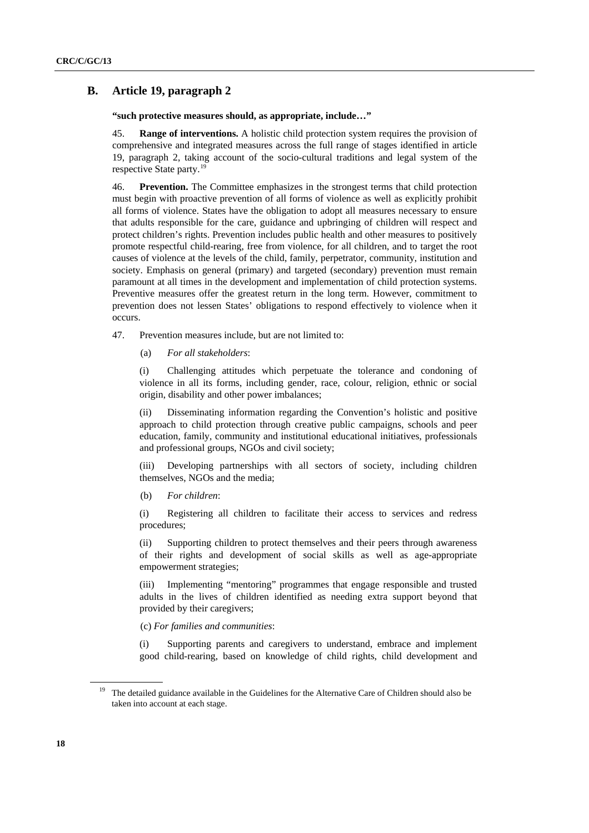### **B. Article 19, paragraph 2**

#### **"such protective measures should, as appropriate, include…"**

45. **Range of interventions.** A holistic child protection system requires the provision of comprehensive and integrated measures across the full range of stages identified in article 19, paragraph 2, taking account of the socio-cultural traditions and legal system of the respective State party.<sup>[19](#page-17-0)</sup>

46. **Prevention.** The Committee emphasizes in the strongest terms that child protection must begin with proactive prevention of all forms of violence as well as explicitly prohibit all forms of violence. States have the obligation to adopt all measures necessary to ensure that adults responsible for the care, guidance and upbringing of children will respect and protect children's rights. Prevention includes public health and other measures to positively promote respectful child-rearing, free from violence, for all children, and to target the root causes of violence at the levels of the child, family, perpetrator, community, institution and society. Emphasis on general (primary) and targeted (secondary) prevention must remain paramount at all times in the development and implementation of child protection systems. Preventive measures offer the greatest return in the long term. However, commitment to prevention does not lessen States' obligations to respond effectively to violence when it occurs.

47. Prevention measures include, but are not limited to:

(a) *For all stakeholders*:

(i) Challenging attitudes which perpetuate the tolerance and condoning of violence in all its forms, including gender, race, colour, religion, ethnic or social origin, disability and other power imbalances;

(ii) Disseminating information regarding the Convention's holistic and positive approach to child protection through creative public campaigns, schools and peer education, family, community and institutional educational initiatives, professionals and professional groups, NGOs and civil society;

(iii) Developing partnerships with all sectors of society, including children themselves, NGOs and the media;

(b) *For children*:

(i) Registering all children to facilitate their access to services and redress procedures;

(ii) Supporting children to protect themselves and their peers through awareness of their rights and development of social skills as well as age-appropriate empowerment strategies;

(iii) Implementing "mentoring" programmes that engage responsible and trusted adults in the lives of children identified as needing extra support beyond that provided by their caregivers;

(c) *For families and communities*:

(i) Supporting parents and caregivers to understand, embrace and implement good child-rearing, based on knowledge of child rights, child development and

<span id="page-17-0"></span><sup>&</sup>lt;sup>19</sup> The detailed guidance available in the Guidelines for the Alternative Care of Children should also be taken into account at each stage.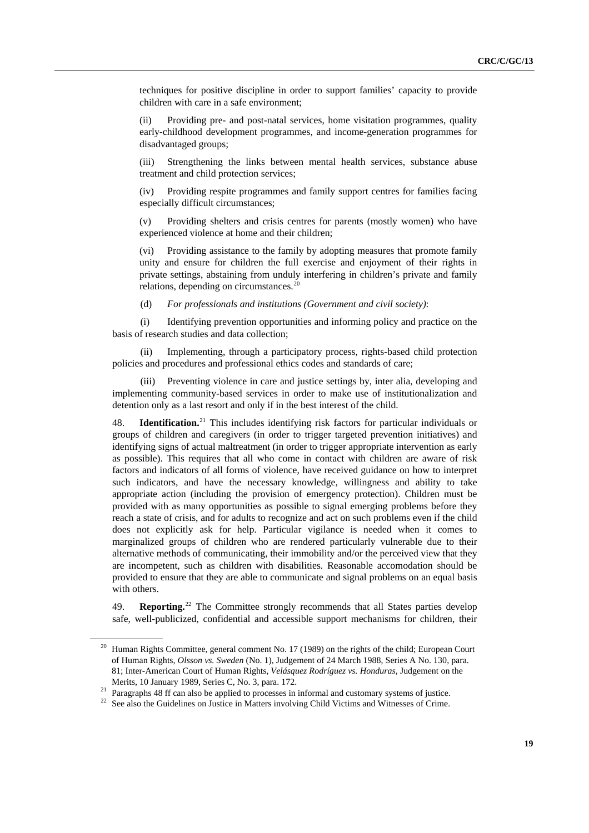techniques for positive discipline in order to support families' capacity to provide children with care in a safe environment;

(ii) Providing pre- and post-natal services, home visitation programmes, quality early-childhood development programmes, and income-generation programmes for disadvantaged groups;

(iii) Strengthening the links between mental health services, substance abuse treatment and child protection services;

(iv) Providing respite programmes and family support centres for families facing especially difficult circumstances;

(v) Providing shelters and crisis centres for parents (mostly women) who have experienced violence at home and their children;

(vi) Providing assistance to the family by adopting measures that promote family unity and ensure for children the full exercise and enjoyment of their rights in private settings, abstaining from unduly interfering in children's private and family relations, depending on circumstances.<sup>[20](#page-18-0)</sup>

(d) *For professionals and institutions (Government and civil society)*:

(i) Identifying prevention opportunities and informing policy and practice on the basis of research studies and data collection;

Implementing, through a participatory process, rights-based child protection policies and procedures and professional ethics codes and standards of care;

(iii) Preventing violence in care and justice settings by, inter alia, developing and implementing community-based services in order to make use of institutionalization and detention only as a last resort and only if in the best interest of the child.

48. **Identification.**[21](#page-18-1) This includes identifying risk factors for particular individuals or groups of children and caregivers (in order to trigger targeted prevention initiatives) and identifying signs of actual maltreatment (in order to trigger appropriate intervention as early as possible). This requires that all who come in contact with children are aware of risk factors and indicators of all forms of violence, have received guidance on how to interpret such indicators, and have the necessary knowledge, willingness and ability to take appropriate action (including the provision of emergency protection). Children must be provided with as many opportunities as possible to signal emerging problems before they reach a state of crisis, and for adults to recognize and act on such problems even if the child does not explicitly ask for help. Particular vigilance is needed when it comes to marginalized groups of children who are rendered particularly vulnerable due to their alternative methods of communicating, their immobility and/or the perceived view that they are incompetent, such as children with disabilities. Reasonable accomodation should be provided to ensure that they are able to communicate and signal problems on an equal basis with others.

49. **Reporting.**[22](#page-18-2) The Committee strongly recommends that all States parties develop safe, well-publicized, confidential and accessible support mechanisms for children, their

<span id="page-18-0"></span><sup>&</sup>lt;sup>20</sup> Human Rights Committee, general comment No. 17 (1989) on the rights of the child; European Court of Human Rights, *Olsson vs. Sweden* (No. 1), Judgement of 24 March 1988, Series A No. 130, para. 81; Inter-American Court of Human Rights, *Velásquez Rodríguez vs. Honduras*, Judgement on the Merits, 10 January 1989, Series C, No. 3, para. 172.<br>
<sup>21</sup> Paragraphs 48 ff can also be applied to processes in informal and customary systems of justice.<br>
<sup>22</sup> See also the Guidelines on Justice in Matters involving Child

<span id="page-18-1"></span>

<span id="page-18-2"></span>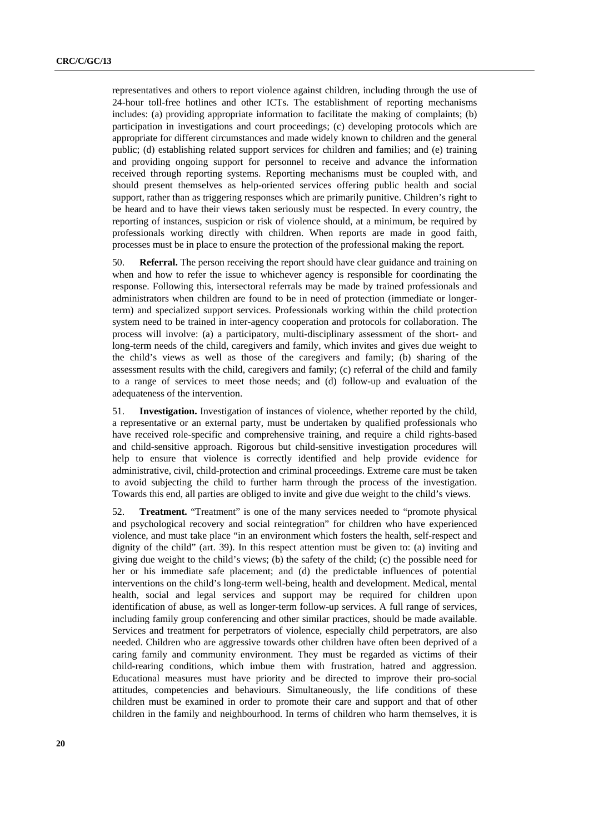representatives and others to report violence against children, including through the use of 24-hour toll-free hotlines and other ICTs. The establishment of reporting mechanisms includes: (a) providing appropriate information to facilitate the making of complaints; (b) participation in investigations and court proceedings; (c) developing protocols which are appropriate for different circumstances and made widely known to children and the general public; (d) establishing related support services for children and families; and (e) training and providing ongoing support for personnel to receive and advance the information received through reporting systems. Reporting mechanisms must be coupled with, and should present themselves as help-oriented services offering public health and social support, rather than as triggering responses which are primarily punitive. Children's right to be heard and to have their views taken seriously must be respected. In every country, the reporting of instances, suspicion or risk of violence should, at a minimum, be required by professionals working directly with children. When reports are made in good faith, processes must be in place to ensure the protection of the professional making the report.

50. **Referral.** The person receiving the report should have clear guidance and training on when and how to refer the issue to whichever agency is responsible for coordinating the response. Following this, intersectoral referrals may be made by trained professionals and administrators when children are found to be in need of protection (immediate or longerterm) and specialized support services. Professionals working within the child protection system need to be trained in inter-agency cooperation and protocols for collaboration. The process will involve: (a) a participatory, multi-disciplinary assessment of the short- and long-term needs of the child, caregivers and family, which invites and gives due weight to the child's views as well as those of the caregivers and family; (b) sharing of the assessment results with the child, caregivers and family; (c) referral of the child and family to a range of services to meet those needs; and (d) follow-up and evaluation of the adequateness of the intervention.

51. **Investigation.** Investigation of instances of violence, whether reported by the child, a representative or an external party, must be undertaken by qualified professionals who have received role-specific and comprehensive training, and require a child rights-based and child-sensitive approach. Rigorous but child-sensitive investigation procedures will help to ensure that violence is correctly identified and help provide evidence for administrative, civil, child-protection and criminal proceedings. Extreme care must be taken to avoid subjecting the child to further harm through the process of the investigation. Towards this end, all parties are obliged to invite and give due weight to the child's views.

52. **Treatment.** "Treatment" is one of the many services needed to "promote physical and psychological recovery and social reintegration" for children who have experienced violence, and must take place "in an environment which fosters the health, self-respect and dignity of the child" (art. 39). In this respect attention must be given to: (a) inviting and giving due weight to the child's views; (b) the safety of the child; (c) the possible need for her or his immediate safe placement; and (d) the predictable influences of potential interventions on the child's long-term well-being, health and development. Medical, mental health, social and legal services and support may be required for children upon identification of abuse, as well as longer-term follow-up services. A full range of services, including family group conferencing and other similar practices, should be made available. Services and treatment for perpetrators of violence, especially child perpetrators, are also needed. Children who are aggressive towards other children have often been deprived of a caring family and community environment. They must be regarded as victims of their child-rearing conditions, which imbue them with frustration, hatred and aggression. Educational measures must have priority and be directed to improve their pro-social attitudes, competencies and behaviours. Simultaneously, the life conditions of these children must be examined in order to promote their care and support and that of other children in the family and neighbourhood. In terms of children who harm themselves, it is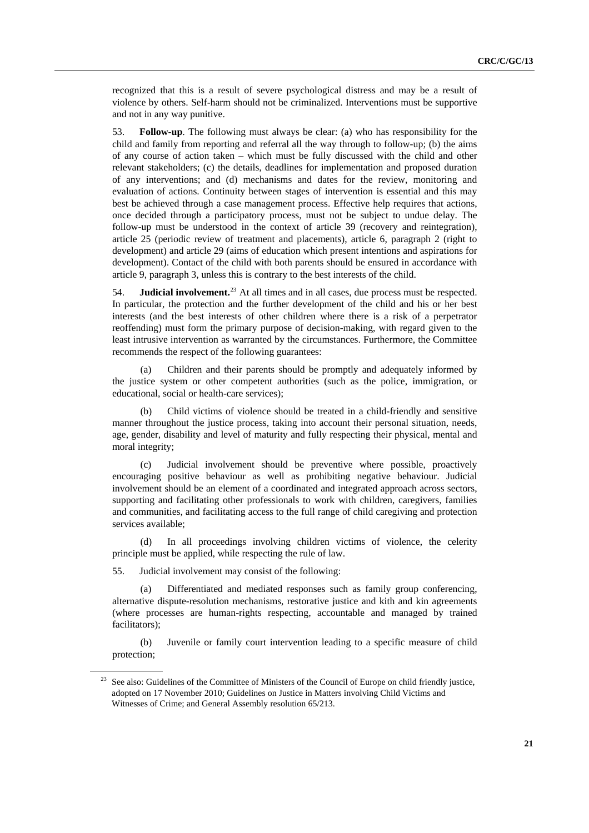recognized that this is a result of severe psychological distress and may be a result of violence by others. Self-harm should not be criminalized. Interventions must be supportive and not in any way punitive.

<span id="page-20-0"></span>53. **Follow-up**. The following must always be clear: (a) who has responsibility for the child and family from reporting and referral all the way through to follow-up; (b) the aims of any course of action taken – which must be fully discussed with the child and other relevant stakeholders; (c) the details, deadlines for implementation and proposed duration of any interventions; and (d) mechanisms and dates for the review, monitoring and evaluation of actions. Continuity between stages of intervention is essential and this may best be achieved through a case management process. Effective help requires that actions, once decided through a participatory process, must not be subject to undue delay. The follow-up must be understood in the context of article 39 (recovery and reintegration), article 25 (periodic review of treatment and placements), article 6, paragraph 2 (right to development) and article 29 (aims of education which present intentions and aspirations for development). Contact of the child with both parents should be ensured in accordance with article 9, paragraph 3, unless this is contrary to the best interests of the child.

54. **Judicial involvement.**[23](#page-20-1) At all times and in all cases, due process must be respected. In particular, the protection and the further development of the child and his or her best interests (and the best interests of other children where there is a risk of a perpetrator reoffending) must form the primary purpose of decision-making, with regard given to the least intrusive intervention as warranted by the circumstances. Furthermore, the Committee recommends the respect of the following guarantees:

(a) Children and their parents should be promptly and adequately informed by the justice system or other competent authorities (such as the police, immigration, or educational, social or health-care services);

(b) Child victims of violence should be treated in a child-friendly and sensitive manner throughout the justice process, taking into account their personal situation, needs, age, gender, disability and level of maturity and fully respecting their physical, mental and moral integrity;

(c) Judicial involvement should be preventive where possible, proactively encouraging positive behaviour as well as prohibiting negative behaviour. Judicial involvement should be an element of a coordinated and integrated approach across sectors, supporting and facilitating other professionals to work with children, caregivers, families and communities, and facilitating access to the full range of child caregiving and protection services available;

(d) In all proceedings involving children victims of violence, the celerity principle must be applied, while respecting the rule of law.

55. Judicial involvement may consist of the following:

(a) Differentiated and mediated responses such as family group conferencing, alternative dispute-resolution mechanisms, restorative justice and kith and kin agreements (where processes are human-rights respecting, accountable and managed by trained facilitators);

(b) Juvenile or family court intervention leading to a specific measure of child protection;

<span id="page-20-1"></span><sup>&</sup>lt;sup>23</sup> See also: Guidelines of the Committee of Ministers of the Council of Europe on child friendly justice, adopted on 17 November 2010; Guidelines on Justice in Matters involving Child Victims and Witnesses of Crime; and General Assembly resolution 65/213.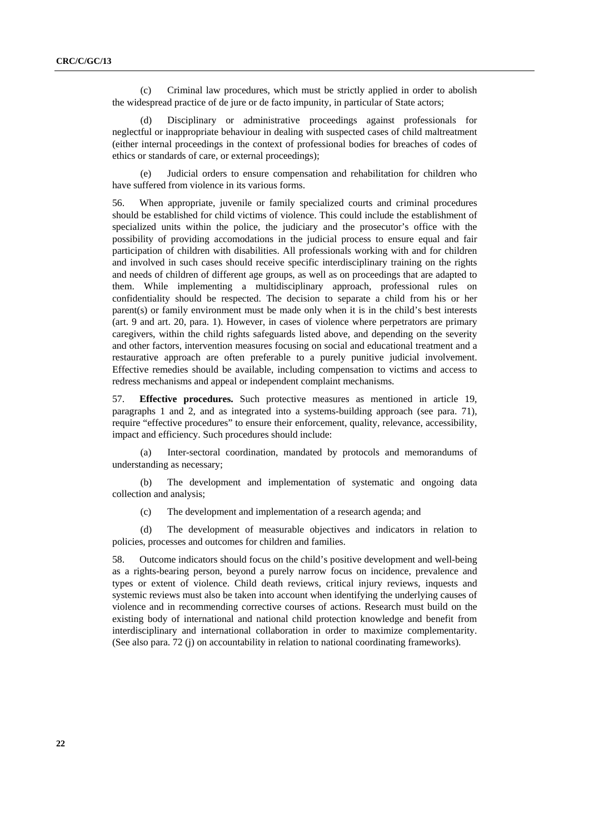(c) Criminal law procedures, which must be strictly applied in order to abolish the widespread practice of de jure or de facto impunity, in particular of State actors;

(d) Disciplinary or administrative proceedings against professionals for neglectful or inappropriate behaviour in dealing with suspected cases of child maltreatment (either internal proceedings in the context of professional bodies for breaches of codes of ethics or standards of care, or external proceedings);

(e) Judicial orders to ensure compensation and rehabilitation for children who have suffered from violence in its various forms.

56. When appropriate, juvenile or family specialized courts and criminal procedures should be established for child victims of violence. This could include the establishment of specialized units within the police, the judiciary and the prosecutor's office with the possibility of providing accomodations in the judicial process to ensure equal and fair participation of children with disabilities. All professionals working with and for children and involved in such cases should receive specific interdisciplinary training on the rights and needs of children of different age groups, as well as on proceedings that are adapted to them. While implementing a multidisciplinary approach, professional rules on confidentiality should be respected. The decision to separate a child from his or her parent(s) or family environment must be made only when it is in the child's best interests (art. 9 and art. 20, para. 1). However, in cases of violence where perpetrators are primary caregivers, within the child rights safeguards listed above, and depending on the severity and other factors, intervention measures focusing on social and educational treatment and a restaurative approach are often preferable to a purely punitive judicial involvement. Effective remedies should be available, including compensation to victims and access to redress mechanisms and appeal or independent complaint mechanisms.

57. **Effective procedures.** Such protective measures as mentioned in article 19, paragraphs 1 and 2, and as integrated into a systems-building approach (see para. [71](#page-25-1)), require "effective procedures" to ensure their enforcement, quality, relevance, accessibility, impact and efficiency. Such procedures should include:

(a) Inter-sectoral coordination, mandated by protocols and memorandums of understanding as necessary;

(b) The development and implementation of systematic and ongoing data collection and analysis;

(c) The development and implementation of a research agenda; and

(d) The development of measurable objectives and indicators in relation to policies, processes and outcomes for children and families.

58. Outcome indicators should focus on the child's positive development and well-being as a rights-bearing person, beyond a purely narrow focus on incidence, prevalence and types or extent of violence. Child death reviews, critical injury reviews, inquests and systemic reviews must also be taken into account when identifying the underlying causes of violence and in recommending corrective courses of actions. Research must build on the existing body of international and national child protection knowledge and benefit from interdisciplinary and international collaboration in order to maximize complementarity. (See also para. [72](#page-25-0) (j) on accountability in relation to national coordinating frameworks).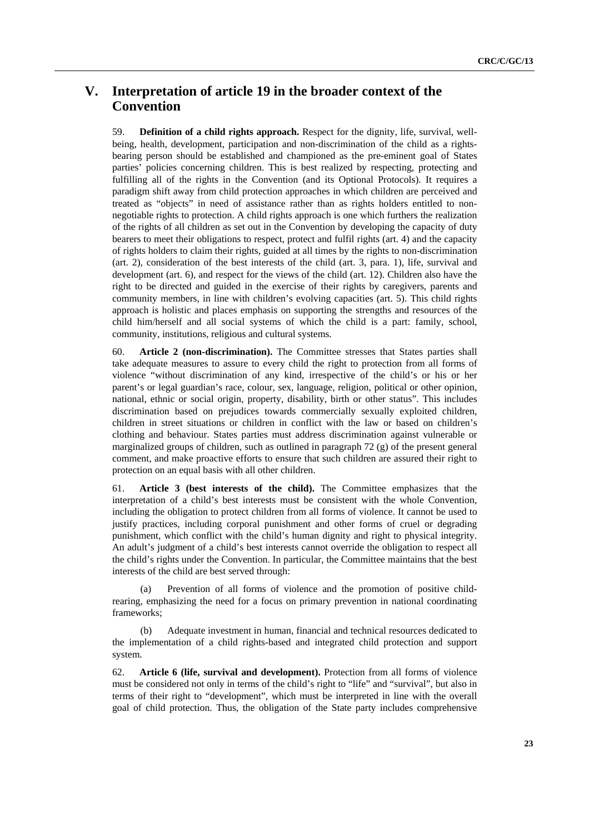# **V. Interpretation of article 19 in the broader context of the Convention**

59. **Definition of a child rights approach.** Respect for the dignity, life, survival, wellbeing, health, development, participation and non-discrimination of the child as a rightsbearing person should be established and championed as the pre-eminent goal of States parties' policies concerning children. This is best realized by respecting, protecting and fulfilling all of the rights in the Convention (and its Optional Protocols). It requires a paradigm shift away from child protection approaches in which children are perceived and treated as "objects" in need of assistance rather than as rights holders entitled to nonnegotiable rights to protection. A child rights approach is one which furthers the realization of the rights of all children as set out in the Convention by developing the capacity of duty bearers to meet their obligations to respect, protect and fulfil rights (art. 4) and the capacity of rights holders to claim their rights, guided at all times by the rights to non-discrimination (art. 2), consideration of the best interests of the child (art. 3, para. 1), life, survival and development (art. 6), and respect for the views of the child (art. 12). Children also have the right to be directed and guided in the exercise of their rights by caregivers, parents and community members, in line with children's evolving capacities (art. 5). This child rights approach is holistic and places emphasis on supporting the strengths and resources of the child him/herself and all social systems of which the child is a part: family, school, community, institutions, religious and cultural systems.

60. **Article 2 (non-discrimination).** The Committee stresses that States parties shall take adequate measures to assure to every child the right to protection from all forms of violence "without discrimination of any kind, irrespective of the child's or his or her parent's or legal guardian's race, colour, sex, language, religion, political or other opinion, national, ethnic or social origin, property, disability, birth or other status". This includes discrimination based on prejudices towards commercially sexually exploited children, children in street situations or children in conflict with the law or based on children's clothing and behaviour. States parties must address discrimination against vulnerable or marginalized groups of children, such as outlined in paragraph [72](#page-25-0) (g) of the present general comment, and make proactive efforts to ensure that such children are assured their right to protection on an equal basis with all other children.

61. **Article 3 (best interests of the child).** The Committee emphasizes that the interpretation of a child's best interests must be consistent with the whole Convention, including the obligation to protect children from all forms of violence. It cannot be used to justify practices, including corporal punishment and other forms of cruel or degrading punishment, which conflict with the child's human dignity and right to physical integrity. An adult's judgment of a child's best interests cannot override the obligation to respect all the child's rights under the Convention. In particular, the Committee maintains that the best interests of the child are best served through:

(a) Prevention of all forms of violence and the promotion of positive childrearing, emphasizing the need for a focus on primary prevention in national coordinating frameworks;

(b) Adequate investment in human, financial and technical resources dedicated to the implementation of a child rights-based and integrated child protection and support system.

62. **Article 6 (life, survival and development).** Protection from all forms of violence must be considered not only in terms of the child's right to "life" and "survival", but also in terms of their right to "development", which must be interpreted in line with the overall goal of child protection. Thus, the obligation of the State party includes comprehensive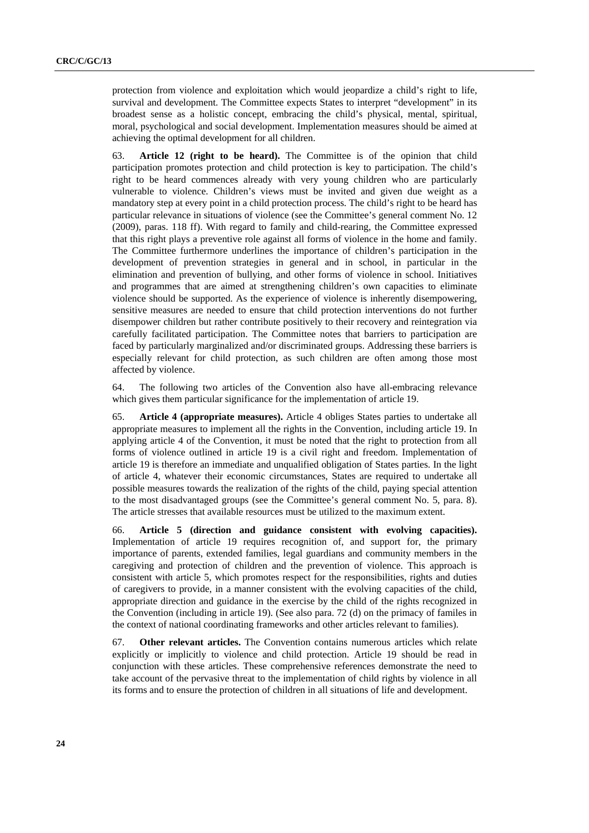protection from violence and exploitation which would jeopardize a child's right to life, survival and development. The Committee expects States to interpret "development" in its broadest sense as a holistic concept, embracing the child's physical, mental, spiritual, moral, psychological and social development. Implementation measures should be aimed at achieving the optimal development for all children.

63. **Article 12 (right to be heard).** The Committee is of the opinion that child participation promotes protection and child protection is key to participation. The child's right to be heard commences already with very young children who are particularly vulnerable to violence. Children's views must be invited and given due weight as a mandatory step at every point in a child protection process. The child's right to be heard has particular relevance in situations of violence (see the Committee's general comment No. 12 (2009), paras. 118 ff). With regard to family and child-rearing, the Committee expressed that this right plays a preventive role against all forms of violence in the home and family. The Committee furthermore underlines the importance of children's participation in the development of prevention strategies in general and in school, in particular in the elimination and prevention of bullying, and other forms of violence in school. Initiatives and programmes that are aimed at strengthening children's own capacities to eliminate violence should be supported. As the experience of violence is inherently disempowering, sensitive measures are needed to ensure that child protection interventions do not further disempower children but rather contribute positively to their recovery and reintegration via carefully facilitated participation. The Committee notes that barriers to participation are faced by particularly marginalized and/or discriminated groups. Addressing these barriers is especially relevant for child protection, as such children are often among those most affected by violence.

64. The following two articles of the Convention also have all-embracing relevance which gives them particular significance for the implementation of article 19.

65. **Article 4 (appropriate measures).** Article 4 obliges States parties to undertake all appropriate measures to implement all the rights in the Convention, including article 19. In applying article 4 of the Convention, it must be noted that the right to protection from all forms of violence outlined in article 19 is a civil right and freedom. Implementation of article 19 is therefore an immediate and unqualified obligation of States parties. In the light of article 4, whatever their economic circumstances, States are required to undertake all possible measures towards the realization of the rights of the child, paying special attention to the most disadvantaged groups (see the Committee's general comment No. 5, para. 8). The article stresses that available resources must be utilized to the maximum extent.

66. **Article 5 (direction and guidance consistent with evolving capacities).** Implementation of article 19 requires recognition of, and support for, the primary importance of parents, extended families, legal guardians and community members in the caregiving and protection of children and the prevention of violence. This approach is consistent with article 5, which promotes respect for the responsibilities, rights and duties of caregivers to provide, in a manner consistent with the evolving capacities of the child, appropriate direction and guidance in the exercise by the child of the rights recognized in the Convention (including in article 19). (See also para. [72](#page-25-0) (d) on the primacy of familes in the context of national coordinating frameworks and other articles relevant to families).

67. **Other relevant articles.** The Convention contains numerous articles which relate explicitly or implicitly to violence and child protection. Article 19 should be read in conjunction with these articles. These comprehensive references demonstrate the need to take account of the pervasive threat to the implementation of child rights by violence in all its forms and to ensure the protection of children in all situations of life and development.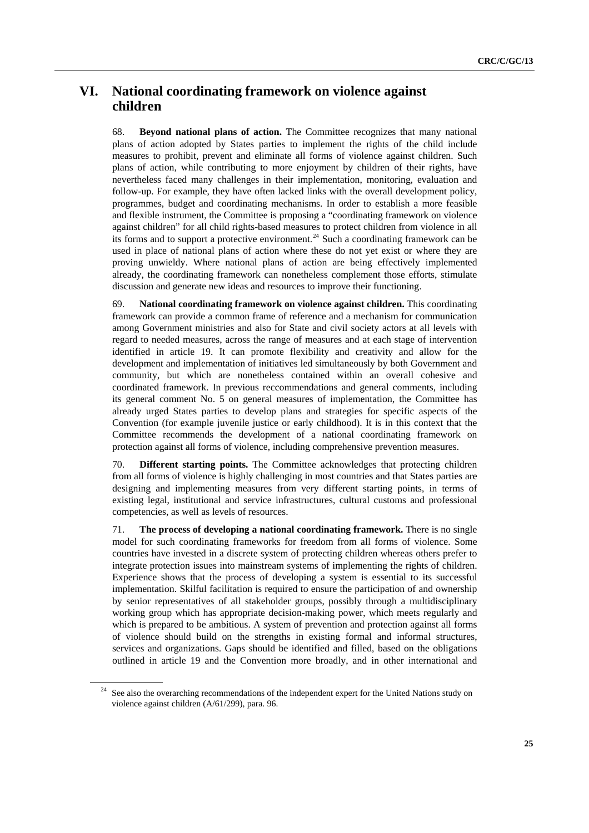# **VI. National coordinating framework on violence against children**

68. **Beyond national plans of action.** The Committee recognizes that many national plans of action adopted by States parties to implement the rights of the child include measures to prohibit, prevent and eliminate all forms of violence against children. Such plans of action, while contributing to more enjoyment by children of their rights, have nevertheless faced many challenges in their implementation, monitoring, evaluation and follow-up. For example, they have often lacked links with the overall development policy, programmes, budget and coordinating mechanisms. In order to establish a more feasible and flexible instrument, the Committee is proposing a "coordinating framework on violence against children" for all child rights-based measures to protect children from violence in all its forms and to support a protective environment.<sup>[24](#page-24-0)</sup> Such a coordinating framework can be used in place of national plans of action where these do not yet exist or where they are proving unwieldy. Where national plans of action are being effectively implemented already, the coordinating framework can nonetheless complement those efforts, stimulate discussion and generate new ideas and resources to improve their functioning.

69. **National coordinating framework on violence against children.** This coordinating framework can provide a common frame of reference and a mechanism for communication among Government ministries and also for State and civil society actors at all levels with regard to needed measures, across the range of measures and at each stage of intervention identified in article 19. It can promote flexibility and creativity and allow for the development and implementation of initiatives led simultaneously by both Government and community, but which are nonetheless contained within an overall cohesive and coordinated framework. In previous reccommendations and general comments, including its general comment No. 5 on general measures of implementation, the Committee has already urged States parties to develop plans and strategies for specific aspects of the Convention (for example juvenile justice or early childhood). It is in this context that the Committee recommends the development of a national coordinating framework on protection against all forms of violence, including comprehensive prevention measures.

<span id="page-24-1"></span>70. **Different starting points.** The Committee acknowledges that protecting children from all forms of violence is highly challenging in most countries and that States parties are designing and implementing measures from very different starting points, in terms of existing legal, institutional and service infrastructures, cultural customs and professional competencies, as well as levels of resources.

71. **The process of developing a national coordinating framework.** There is no single model for such coordinating frameworks for freedom from all forms of violence. Some countries have invested in a discrete system of protecting children whereas others prefer to integrate protection issues into mainstream systems of implementing the rights of children. Experience shows that the process of developing a system is essential to its successful implementation. Skilful facilitation is required to ensure the participation of and ownership by senior representatives of all stakeholder groups, possibly through a multidisciplinary working group which has appropriate decision-making power, which meets regularly and which is prepared to be ambitious. A system of prevention and protection against all forms of violence should build on the strengths in existing formal and informal structures, services and organizations. Gaps should be identified and filled, based on the obligations outlined in article 19 and the Convention more broadly, and in other international and

<span id="page-24-0"></span><sup>&</sup>lt;sup>24</sup> See also the overarching recommendations of the independent expert for the United Nations study on violence against children (A/61/299), para. 96.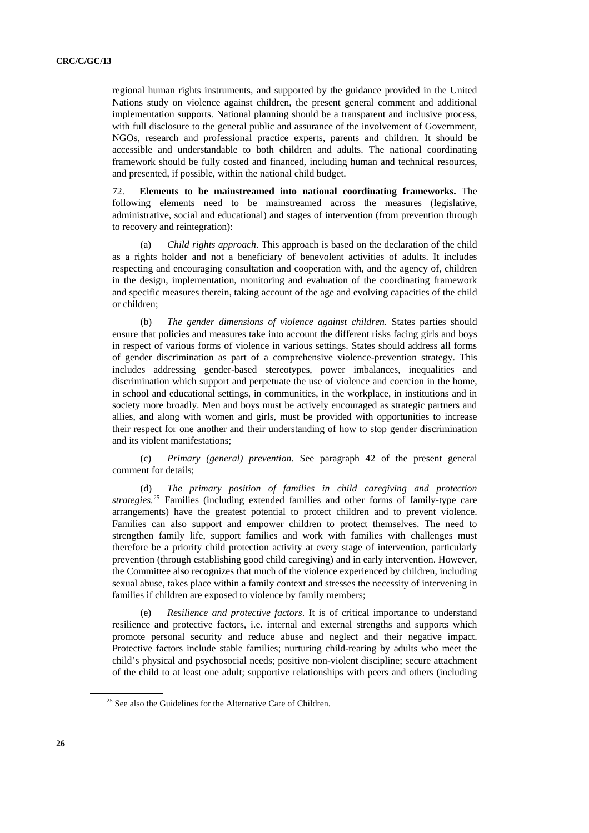regional human rights instruments, and supported by the guidance provided in the United Nations study on violence against children, the present general comment and additional implementation supports. National planning should be a transparent and inclusive process, with full disclosure to the general public and assurance of the involvement of Government, NGOs, research and professional practice experts, parents and children. It should be accessible and understandable to both children and adults. The national coordinating framework should be fully costed and financed, including human and technical resources, and presented, if possible, within the national child budget.

<span id="page-25-0"></span>72. **Elements to be mainstreamed into national coordinating frameworks.** The following elements need to be mainstreamed across the measures (legislative, administrative, social and educational) and stages of intervention (from prevention through to recovery and reintegration):

(a) *Child rights approach*. This approach is based on the declaration of the child as a rights holder and not a beneficiary of benevolent activities of adults. It includes respecting and encouraging consultation and cooperation with, and the agency of, children in the design, implementation, monitoring and evaluation of the coordinating framework and specific measures therein, taking account of the age and evolving capacities of the child or children;

(b) *The gender dimensions of violence against children*. States parties should ensure that policies and measures take into account the different risks facing girls and boys in respect of various forms of violence in various settings. States should address all forms of gender discrimination as part of a comprehensive violence-prevention strategy. This includes addressing gender-based stereotypes, power imbalances, inequalities and discrimination which support and perpetuate the use of violence and coercion in the home, in school and educational settings, in communities, in the workplace, in institutions and in society more broadly. Men and boys must be actively encouraged as strategic partners and allies, and along with women and girls, must be provided with opportunities to increase their respect for one another and their understanding of how to stop gender discrimination and its violent manifestations;

(c) *Primary (general) prevention*. See paragraph [42](#page-14-2) of the present general comment for details;

<span id="page-25-1"></span>(d) *The primary position of families in child caregiving and protection strategies.*[25](#page-25-2) Families (including extended families and other forms of family-type care arrangements) have the greatest potential to protect children and to prevent violence. Families can also support and empower children to protect themselves. The need to strengthen family life, support families and work with families with challenges must therefore be a priority child protection activity at every stage of intervention, particularly prevention (through establishing good child caregiving) and in early intervention. However, the Committee also recognizes that much of the violence experienced by children, including sexual abuse, takes place within a family context and stresses the necessity of intervening in families if children are exposed to violence by family members;

*Resilience and protective factors*. It is of critical importance to understand resilience and protective factors, i.e. internal and external strengths and supports which promote personal security and reduce abuse and neglect and their negative impact. Protective factors include stable families; nurturing child-rearing by adults who meet the child's physical and psychosocial needs; positive non-violent discipline; secure attachment of the child to at least one adult; supportive relationships with peers and others (including

<span id="page-25-2"></span><sup>&</sup>lt;sup>25</sup> See also the Guidelines for the Alternative Care of Children.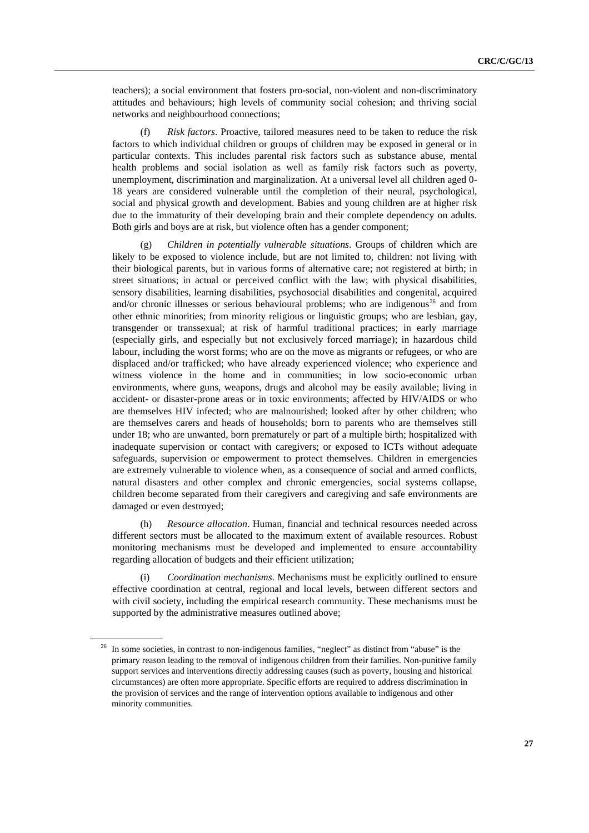teachers); a social environment that fosters pro-social, non-violent and non-discriminatory attitudes and behaviours; high levels of community social cohesion; and thriving social networks and neighbourhood connections;

*Risk factors*. Proactive, tailored measures need to be taken to reduce the risk factors to which individual children or groups of children may be exposed in general or in particular contexts. This includes parental risk factors such as substance abuse, mental health problems and social isolation as well as family risk factors such as poverty, unemployment, discrimination and marginalization. At a universal level all children aged 0- 18 years are considered vulnerable until the completion of their neural, psychological, social and physical growth and development. Babies and young children are at higher risk due to the immaturity of their developing brain and their complete dependency on adults. Both girls and boys are at risk, but violence often has a gender component;

(g) *Children in potentially vulnerable situations*. Groups of children which are likely to be exposed to violence include, but are not limited to, children: not living with their biological parents, but in various forms of alternative care; not registered at birth; in street situations; in actual or perceived conflict with the law; with physical disabilities, sensory disabilities, learning disabilities, psychosocial disabilities and congenital, acquired and/or chronic illnesses or serious behavioural problems; who are indigenous<sup>[26](#page-26-0)</sup> and from other ethnic minorities; from minority religious or linguistic groups; who are lesbian, gay, transgender or transsexual; at risk of harmful traditional practices; in early marriage (especially girls, and especially but not exclusively forced marriage); in hazardous child labour, including the worst forms; who are on the move as migrants or refugees, or who are displaced and/or trafficked; who have already experienced violence; who experience and witness violence in the home and in communities; in low socio-economic urban environments, where guns, weapons, drugs and alcohol may be easily available; living in accident- or disaster-prone areas or in toxic environments; affected by HIV/AIDS or who are themselves HIV infected; who are malnourished; looked after by other children; who are themselves carers and heads of households; born to parents who are themselves still under 18; who are unwanted, born prematurely or part of a multiple birth; hospitalized with inadequate supervision or contact with caregivers; or exposed to ICTs without adequate safeguards, supervision or empowerment to protect themselves. Children in emergencies are extremely vulnerable to violence when, as a consequence of social and armed conflicts, natural disasters and other complex and chronic emergencies, social systems collapse, children become separated from their caregivers and caregiving and safe environments are damaged or even destroyed;

(h) *Resource allocation*. Human, financial and technical resources needed across different sectors must be allocated to the maximum extent of available resources. Robust monitoring mechanisms must be developed and implemented to ensure accountability regarding allocation of budgets and their efficient utilization;

(i) *Coordination mechanisms*. Mechanisms must be explicitly outlined to ensure effective coordination at central, regional and local levels, between different sectors and with civil society, including the empirical research community. These mechanisms must be supported by the administrative measures outlined above;

<span id="page-26-0"></span><sup>&</sup>lt;sup>26</sup> In some societies, in contrast to non-indigenous families, "neglect" as distinct from "abuse" is the primary reason leading to the removal of indigenous children from their families. Non-punitive family support services and interventions directly addressing causes (such as poverty, housing and historical circumstances) are often more appropriate. Specific efforts are required to address discrimination in the provision of services and the range of intervention options available to indigenous and other minority communities.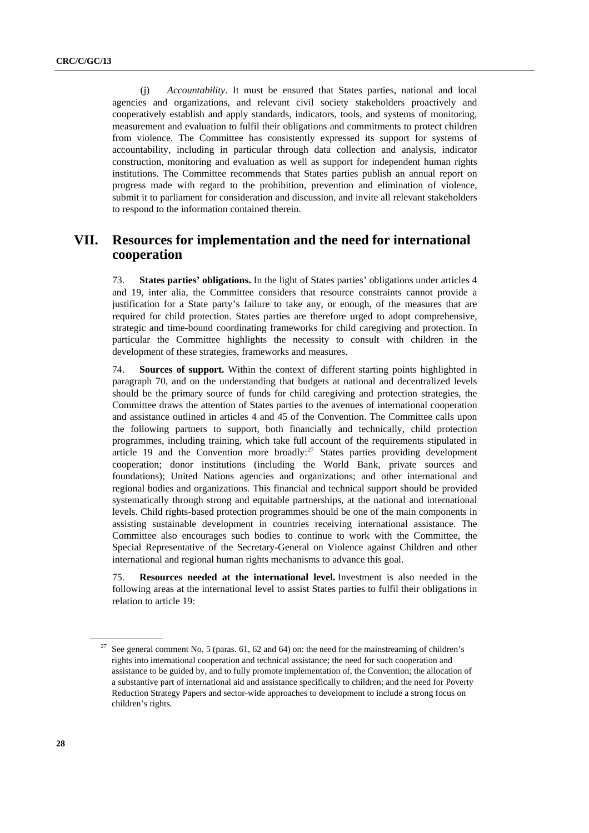(j) *Accountability*. It must be ensured that States parties, national and local agencies and organizations, and relevant civil society stakeholders proactively and cooperatively establish and apply standards, indicators, tools, and systems of monitoring, measurement and evaluation to fulfil their obligations and commitments to protect children from violence. The Committee has consistently expressed its support for systems of accountability, including in particular through data collection and analysis, indicator construction, monitoring and evaluation as well as support for independent human rights institutions. The Committee recommends that States parties publish an annual report on progress made with regard to the prohibition, prevention and elimination of violence, submit it to parliament for consideration and discussion, and invite all relevant stakeholders to respond to the information contained therein.

## **VII. Resources for implementation and the need for international cooperation**

73. **States parties' obligations.** In the light of States parties' obligations under articles 4 and 19, inter alia, the Committee considers that resource constraints cannot provide a justification for a State party's failure to take any, or enough, of the measures that are required for child protection. States parties are therefore urged to adopt comprehensive, strategic and time-bound coordinating frameworks for child caregiving and protection. In particular the Committee highlights the necessity to consult with children in the development of these strategies, frameworks and measures.

74. **Sources of support.** Within the context of different starting points highlighted in paragraph [70](#page-24-1), and on the understanding that budgets at national and decentralized levels should be the primary source of funds for child caregiving and protection strategies, the Committee draws the attention of States parties to the avenues of international cooperation and assistance outlined in articles 4 and 45 of the Convention. The Committee calls upon the following partners to support, both financially and technically, child protection programmes, including training, which take full account of the requirements stipulated in article 19 and the Convention more broadly: $27$  States parties providing development cooperation; donor institutions (including the World Bank, private sources and foundations); United Nations agencies and organizations; and other international and regional bodies and organizations. This financial and technical support should be provided systematically through strong and equitable partnerships, at the national and international levels. Child rights-based protection programmes should be one of the main components in assisting sustainable development in countries receiving international assistance. The Committee also encourages such bodies to continue to work with the Committee, the Special Representative of the Secretary-General on Violence against Children and other international and regional human rights mechanisms to advance this goal.

75. **Resources needed at the international level.** Investment is also needed in the following areas at the international level to assist States parties to fulfil their obligations in relation to article 19:

<span id="page-27-0"></span><sup>&</sup>lt;sup>27</sup> See general comment No. 5 (paras. 61, 62 and 64) on: the need for the mainstreaming of children's rights into international cooperation and technical assistance; the need for such cooperation and assistance to be guided by, and to fully promote implementation of, the Convention; the allocation of a substantive part of international aid and assistance specifically to children; and the need for Poverty Reduction Strategy Papers and sector-wide approaches to development to include a strong focus on children's rights.